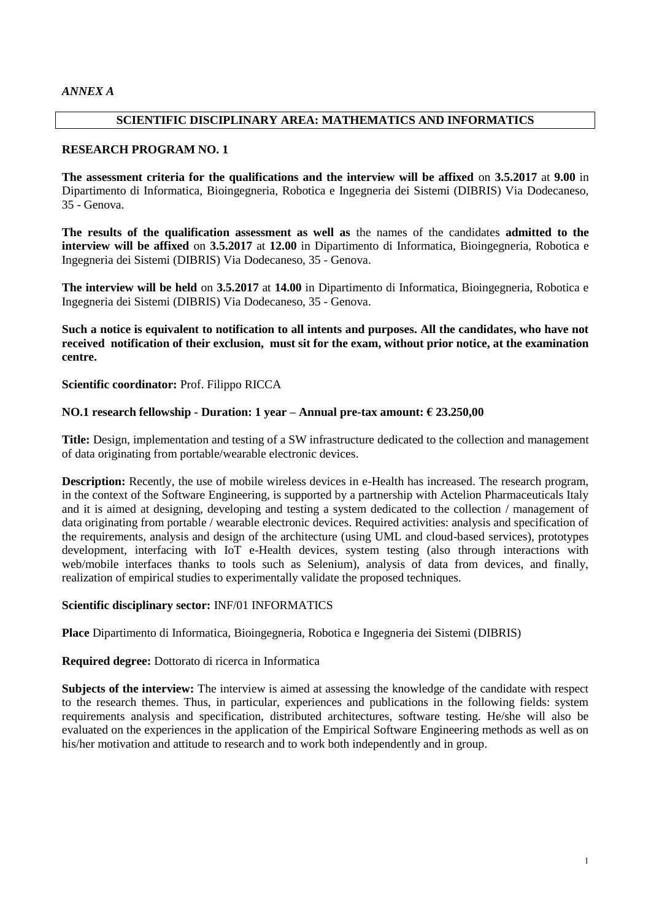#### **SCIENTIFIC DISCIPLINARY AREA: MATHEMATICS AND INFORMATICS**

#### **RESEARCH PROGRAM NO. 1**

**The assessment criteria for the qualifications and the interview will be affixed** on **3.5.2017** at **9.00** in Dipartimento di Informatica, Bioingegneria, Robotica e Ingegneria dei Sistemi (DIBRIS) Via Dodecaneso, 35 - Genova.

**The results of the qualification assessment as well as** the names of the candidates **admitted to the interview will be affixed** on **3.5.2017** at **12.00** in Dipartimento di Informatica, Bioingegneria, Robotica e Ingegneria dei Sistemi (DIBRIS) Via Dodecaneso, 35 - Genova.

**The interview will be held** on **3.5.2017** at **14.00** in Dipartimento di Informatica, Bioingegneria, Robotica e Ingegneria dei Sistemi (DIBRIS) Via Dodecaneso, 35 - Genova.

**Such a notice is equivalent to notification to all intents and purposes. All the candidates, who have not received notification of their exclusion, must sit for the exam, without prior notice, at the examination centre.**

**Scientific coordinator:** Prof. Filippo RICCA

#### **NO.1 research fellowship - Duration: 1 year – Annual pre-tax amount: € 23.250,00**

**Title:** Design, implementation and testing of a SW infrastructure dedicated to the collection and management of data originating from portable/wearable electronic devices.

**Description:** Recently, the use of mobile wireless devices in e-Health has increased. The research program, in the context of the Software Engineering, is supported by a partnership with Actelion Pharmaceuticals Italy and it is aimed at designing, developing and testing a system dedicated to the collection / management of data originating from portable / wearable electronic devices. Required activities: analysis and specification of the requirements, analysis and design of the architecture (using UML and cloud-based services), prototypes development, interfacing with IoT e-Health devices, system testing (also through interactions with web/mobile interfaces thanks to tools such as Selenium), analysis of data from devices, and finally, realization of empirical studies to experimentally validate the proposed techniques.

#### **Scientific disciplinary sector:** INF/01 INFORMATICS

**Place** Dipartimento di Informatica, Bioingegneria, Robotica e Ingegneria dei Sistemi (DIBRIS)

**Required degree:** Dottorato di ricerca in Informatica

**Subjects of the interview:** The interview is aimed at assessing the knowledge of the candidate with respect to the research themes. Thus, in particular, experiences and publications in the following fields: system requirements analysis and specification, distributed architectures, software testing. He/she will also be evaluated on the experiences in the application of the Empirical Software Engineering methods as well as on his/her motivation and attitude to research and to work both independently and in group.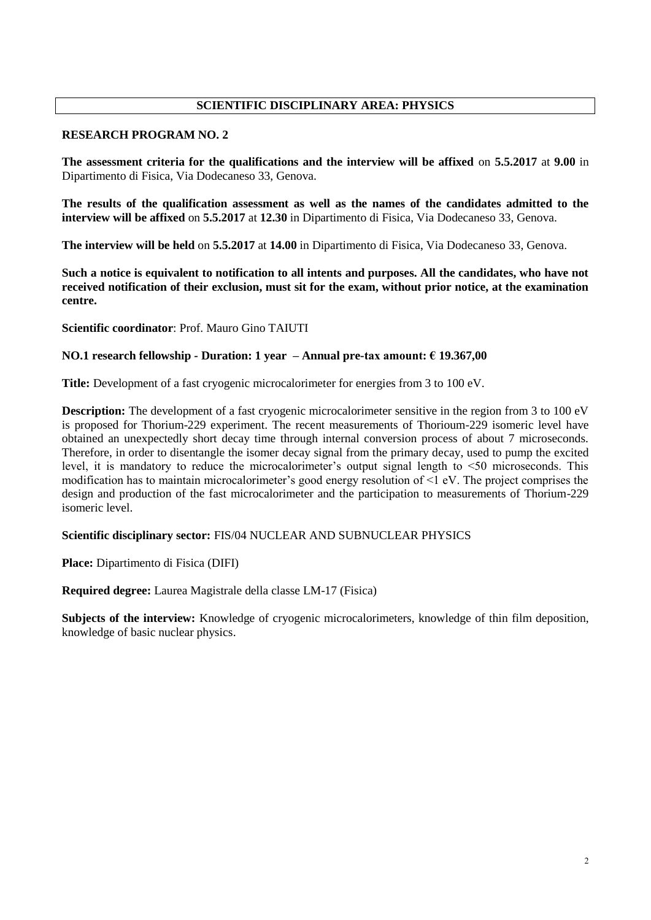# **SCIENTIFIC DISCIPLINARY AREA: PHYSICS**

### **RESEARCH PROGRAM NO. 2**

**The assessment criteria for the qualifications and the interview will be affixed** on **5.5.2017** at **9.00** in Dipartimento di Fisica, Via Dodecaneso 33, Genova.

**The results of the qualification assessment as well as the names of the candidates admitted to the interview will be affixed** on **5.5.2017** at **12.30** in Dipartimento di Fisica, Via Dodecaneso 33, Genova.

**The interview will be held** on **5.5.2017** at **14.00** in Dipartimento di Fisica, Via Dodecaneso 33, Genova.

**Such a notice is equivalent to notification to all intents and purposes. All the candidates, who have not received notification of their exclusion, must sit for the exam, without prior notice, at the examination centre.**

**Scientific coordinator**: Prof. Mauro Gino TAIUTI

## **NO.1 research fellowship - Duration: 1 year – Annual pre-tax amount: € 19.367,00**

**Title:** Development of a fast cryogenic microcalorimeter for energies from 3 to 100 eV.

**Description:** The development of a fast cryogenic microcalorimeter sensitive in the region from 3 to 100 eV is proposed for Thorium-229 experiment. The recent measurements of Thorioum-229 isomeric level have obtained an unexpectedly short decay time through internal conversion process of about 7 microseconds. Therefore, in order to disentangle the isomer decay signal from the primary decay, used to pump the excited level, it is mandatory to reduce the microcalorimeter's output signal length to <50 microseconds. This modification has to maintain microcalorimeter's good energy resolution of <1 eV. The project comprises the design and production of the fast microcalorimeter and the participation to measurements of Thorium-229 isomeric level.

# **Scientific disciplinary sector:** FIS/04 NUCLEAR AND SUBNUCLEAR PHYSICS

**Place:** Dipartimento di Fisica (DIFI)

**Required degree:** Laurea Magistrale della classe LM-17 (Fisica)

**Subjects of the interview:** Knowledge of cryogenic microcalorimeters, knowledge of thin film deposition, knowledge of basic nuclear physics.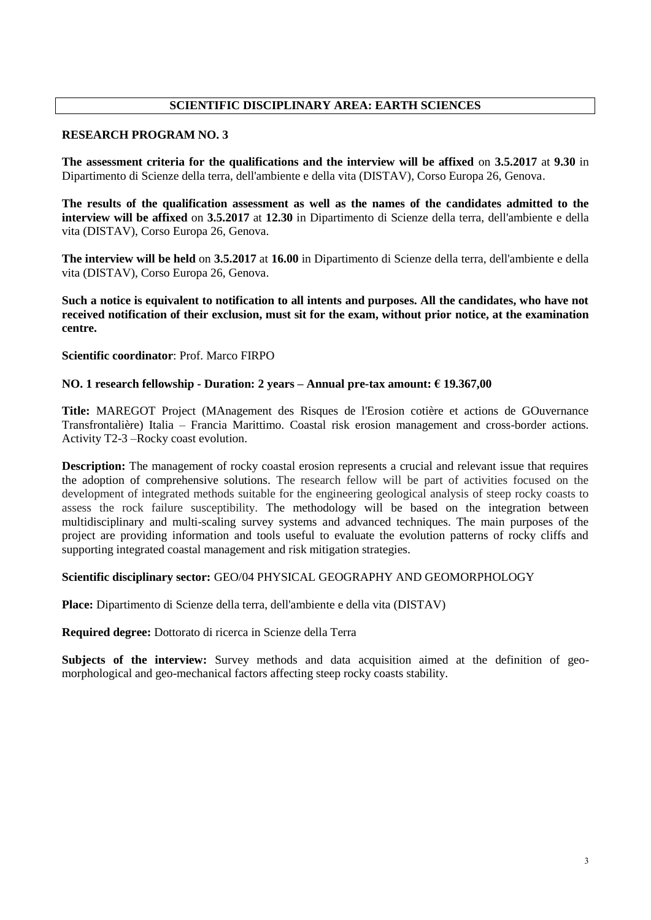# **SCIENTIFIC DISCIPLINARY AREA: EARTH SCIENCES**

#### **RESEARCH PROGRAM NO. 3**

**The assessment criteria for the qualifications and the interview will be affixed** on **3.5.2017** at **9.30** in Dipartimento di Scienze della terra, dell'ambiente e della vita (DISTAV), Corso Europa 26, Genova.

**The results of the qualification assessment as well as the names of the candidates admitted to the interview will be affixed** on **3.5.2017** at **12.30** in Dipartimento di Scienze della terra, dell'ambiente e della vita (DISTAV), Corso Europa 26, Genova.

**The interview will be held** on **3.5.2017** at **16.00** in Dipartimento di Scienze della terra, dell'ambiente e della vita (DISTAV), Corso Europa 26, Genova.

**Such a notice is equivalent to notification to all intents and purposes. All the candidates, who have not received notification of their exclusion, must sit for the exam, without prior notice, at the examination centre.**

**Scientific coordinator**: Prof. Marco FIRPO

#### **NO. 1 research fellowship - Duration: 2 years – Annual pre-tax amount: € 19.367,00**

**Title:** MAREGOT Project (MAnagement des Risques de l'Erosion cotière et actions de GOuvernance Transfrontalière) Italia – Francia Marittimo. Coastal risk erosion management and cross-border actions. Activity T2-3 –Rocky coast evolution.

**Description:** The management of rocky coastal erosion represents a crucial and relevant issue that requires the adoption of comprehensive solutions. The research fellow will be part of activities focused on the development of integrated methods suitable for the engineering geological analysis of steep rocky coasts to assess the rock failure susceptibility. The methodology will be based on the integration between multidisciplinary and multi-scaling survey systems and advanced techniques. The main purposes of the project are providing information and tools useful to evaluate the evolution patterns of rocky cliffs and supporting integrated coastal management and risk mitigation strategies.

#### **Scientific disciplinary sector:** GEO/04 PHYSICAL GEOGRAPHY AND GEOMORPHOLOGY

**Place:** Dipartimento di Scienze della terra, dell'ambiente e della vita (DISTAV)

**Required degree:** Dottorato di ricerca in Scienze della Terra

**Subjects of the interview:** Survey methods and data acquisition aimed at the definition of geomorphological and geo-mechanical factors affecting steep rocky coasts stability.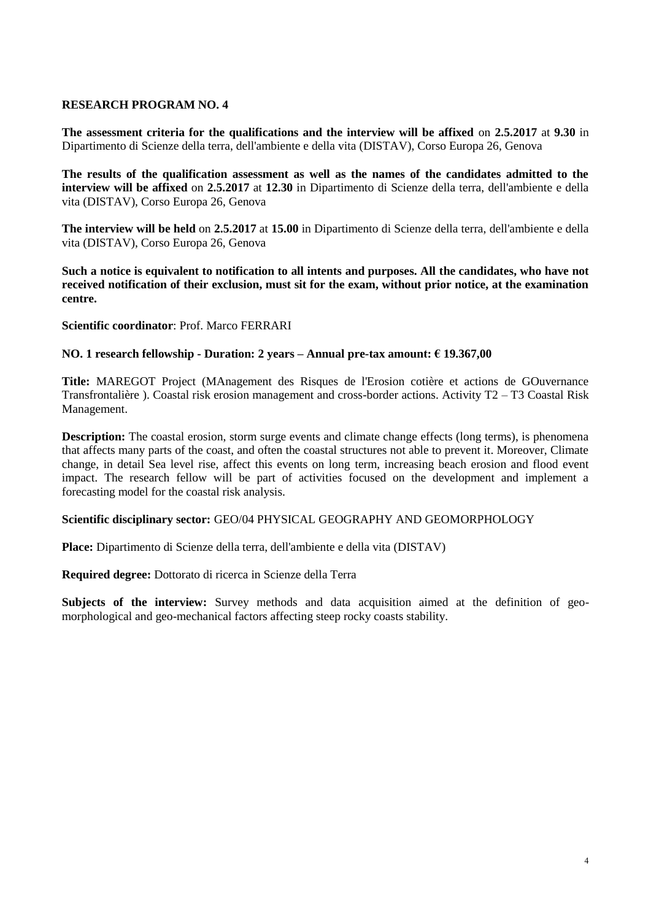**The assessment criteria for the qualifications and the interview will be affixed** on **2.5.2017** at **9.30** in Dipartimento di Scienze della terra, dell'ambiente e della vita (DISTAV), Corso Europa 26, Genova

**The results of the qualification assessment as well as the names of the candidates admitted to the interview will be affixed** on **2.5.2017** at **12.30** in Dipartimento di Scienze della terra, dell'ambiente e della vita (DISTAV), Corso Europa 26, Genova

**The interview will be held** on **2.5.2017** at **15.00** in Dipartimento di Scienze della terra, dell'ambiente e della vita (DISTAV), Corso Europa 26, Genova

**Such a notice is equivalent to notification to all intents and purposes. All the candidates, who have not received notification of their exclusion, must sit for the exam, without prior notice, at the examination centre.**

**Scientific coordinator**: Prof. Marco FERRARI

#### **NO. 1 research fellowship - Duration: 2 years – Annual pre-tax amount: € 19.367,00**

**Title:** MAREGOT Project (MAnagement des Risques de l'Erosion cotière et actions de GOuvernance Transfrontalière ). Coastal risk erosion management and cross-border actions. Activity T2 – T3 Coastal Risk Management.

**Description:** The coastal erosion, storm surge events and climate change effects (long terms), is phenomena that affects many parts of the coast, and often the coastal structures not able to prevent it. Moreover, Climate change, in detail Sea level rise, affect this events on long term, increasing beach erosion and flood event impact. The research fellow will be part of activities focused on the development and implement a forecasting model for the coastal risk analysis.

#### **Scientific disciplinary sector:** GEO/04 PHYSICAL GEOGRAPHY AND GEOMORPHOLOGY

**Place:** Dipartimento di Scienze della terra, dell'ambiente e della vita (DISTAV)

**Required degree:** Dottorato di ricerca in Scienze della Terra

**Subjects of the interview:** Survey methods and data acquisition aimed at the definition of geomorphological and geo-mechanical factors affecting steep rocky coasts stability.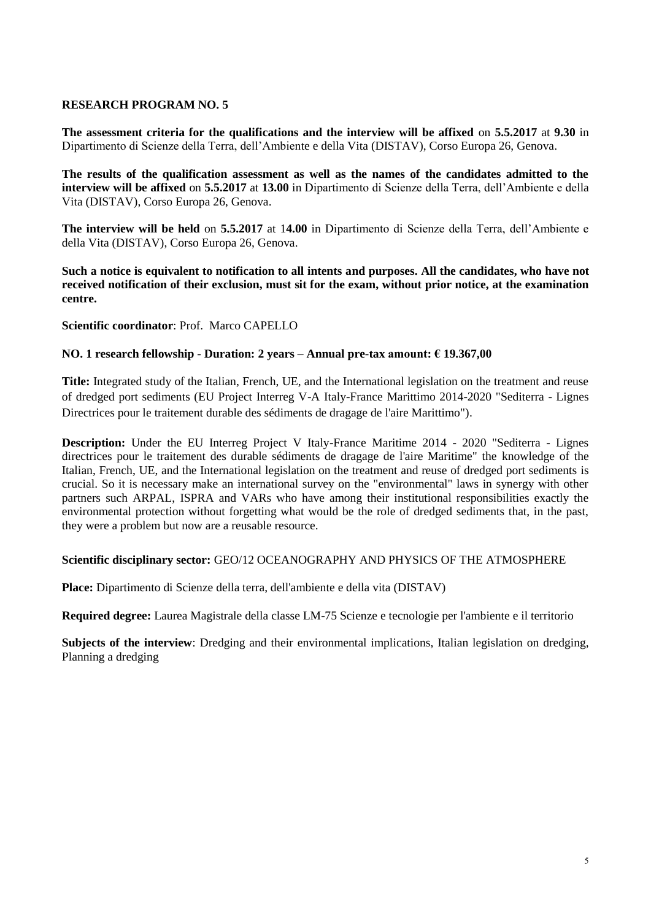**The assessment criteria for the qualifications and the interview will be affixed** on **5.5.2017** at **9.30** in Dipartimento di Scienze della Terra, dell'Ambiente e della Vita (DISTAV), Corso Europa 26, Genova.

**The results of the qualification assessment as well as the names of the candidates admitted to the interview will be affixed** on **5.5.2017** at **13.00** in Dipartimento di Scienze della Terra, dell'Ambiente e della Vita (DISTAV), Corso Europa 26, Genova.

**The interview will be held** on **5.5.2017** at 1**4.00** in Dipartimento di Scienze della Terra, dell'Ambiente e della Vita (DISTAV), Corso Europa 26, Genova.

**Such a notice is equivalent to notification to all intents and purposes. All the candidates, who have not received notification of their exclusion, must sit for the exam, without prior notice, at the examination centre.**

**Scientific coordinator**: Prof. Marco CAPELLO

## **NO. 1 research fellowship - Duration: 2 years – Annual pre-tax amount: € 19.367,00**

**Title:** Integrated study of the Italian, French, UE, and the International legislation on the treatment and reuse of dredged port sediments (EU Project Interreg V-A Italy-France Marittimo 2014-2020 "Sediterra - Lignes Directrices pour le traitement durable des sédiments de dragage de l'aire Marittimo").

**Description:** Under the EU Interreg Project V Italy-France Maritime 2014 - 2020 "Sediterra - Lignes directrices pour le traitement des durable sédiments de dragage de l'aire Maritime" the knowledge of the Italian, French, UE, and the International legislation on the treatment and reuse of dredged port sediments is crucial. So it is necessary make an international survey on the "environmental" laws in synergy with other partners such ARPAL, ISPRA and VARs who have among their institutional responsibilities exactly the environmental protection without forgetting what would be the role of dredged sediments that, in the past, they were a problem but now are a reusable resource.

#### **Scientific disciplinary sector:** GEO/12 OCEANOGRAPHY AND PHYSICS OF THE ATMOSPHERE

**Place:** Dipartimento di Scienze della terra, dell'ambiente e della vita (DISTAV)

**Required degree:** Laurea Magistrale della classe LM-75 Scienze e tecnologie per l'ambiente e il territorio

**Subjects of the interview**: Dredging and their environmental implications, Italian legislation on dredging, Planning a dredging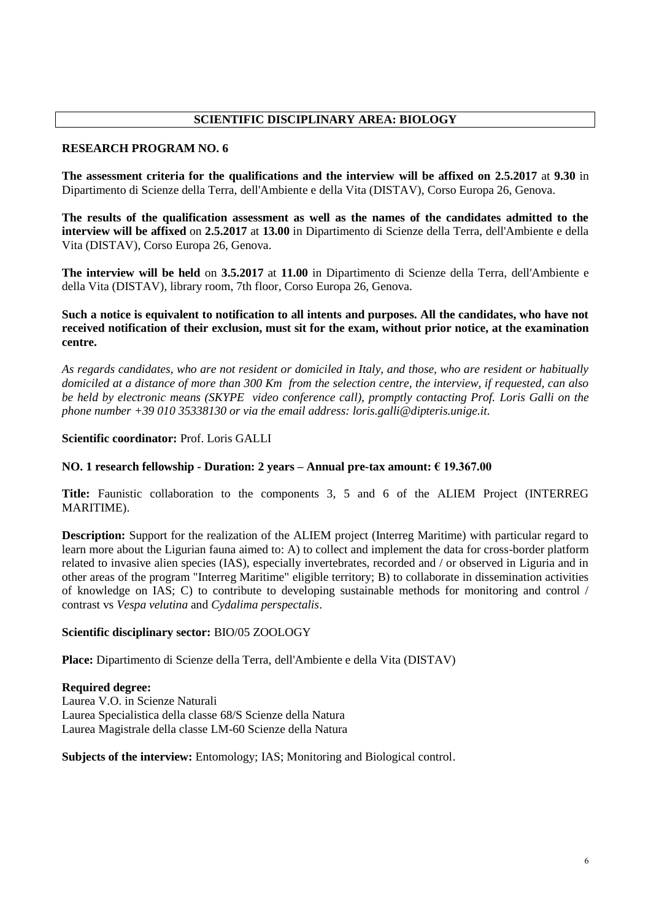### **SCIENTIFIC DISCIPLINARY AREA: BIOLOGY**

#### **RESEARCH PROGRAM NO. 6**

**The assessment criteria for the qualifications and the interview will be affixed on 2.5.2017** at **9.30** in Dipartimento di Scienze della Terra, dell'Ambiente e della Vita (DISTAV), Corso Europa 26, Genova.

**The results of the qualification assessment as well as the names of the candidates admitted to the interview will be affixed** on **2.5.2017** at **13.00** in Dipartimento di Scienze della Terra, dell'Ambiente e della Vita (DISTAV), Corso Europa 26, Genova.

**The interview will be held** on **3.5.2017** at **11.00** in Dipartimento di Scienze della Terra, dell'Ambiente e della Vita (DISTAV), library room, 7th floor, Corso Europa 26, Genova.

### **Such a notice is equivalent to notification to all intents and purposes. All the candidates, who have not received notification of their exclusion, must sit for the exam, without prior notice, at the examination centre.**

*As regards candidates, who are not resident or domiciled in Italy, and those, who are resident or habitually domiciled at a distance of more than 300 Km from the selection centre, the interview, if requested, can also be held by electronic means (SKYPE video conference call), promptly contacting Prof. Loris Galli on the phone number +39 010 35338130 or via the email address: loris.galli@dipteris.unige.it.*

## **Scientific coordinator:** Prof. Loris GALLI

## **NO. 1 research fellowship - Duration: 2 years – Annual pre-tax amount: € 19.367.00**

**Title:** Faunistic collaboration to the components 3, 5 and 6 of the ALIEM Project (INTERREG MARITIME).

**Description:** Support for the realization of the ALIEM project (Interreg Maritime) with particular regard to learn more about the Ligurian fauna aimed to: A) to collect and implement the data for cross-border platform related to invasive alien species (IAS), especially invertebrates, recorded and / or observed in Liguria and in other areas of the program "Interreg Maritime" eligible territory; B) to collaborate in dissemination activities of knowledge on IAS; C) to contribute to developing sustainable methods for monitoring and control / contrast vs *Vespa velutina* and *Cydalima perspectalis*.

#### **Scientific disciplinary sector:** BIO/05 ZOOLOGY

**Place:** Dipartimento di Scienze della Terra, dell'Ambiente e della Vita (DISTAV)

**Required degree:**  Laurea V.O. in Scienze Naturali Laurea Specialistica della classe 68/S Scienze della Natura Laurea Magistrale della classe LM-60 Scienze della Natura

**Subjects of the interview:** Entomology; IAS; Monitoring and Biological control.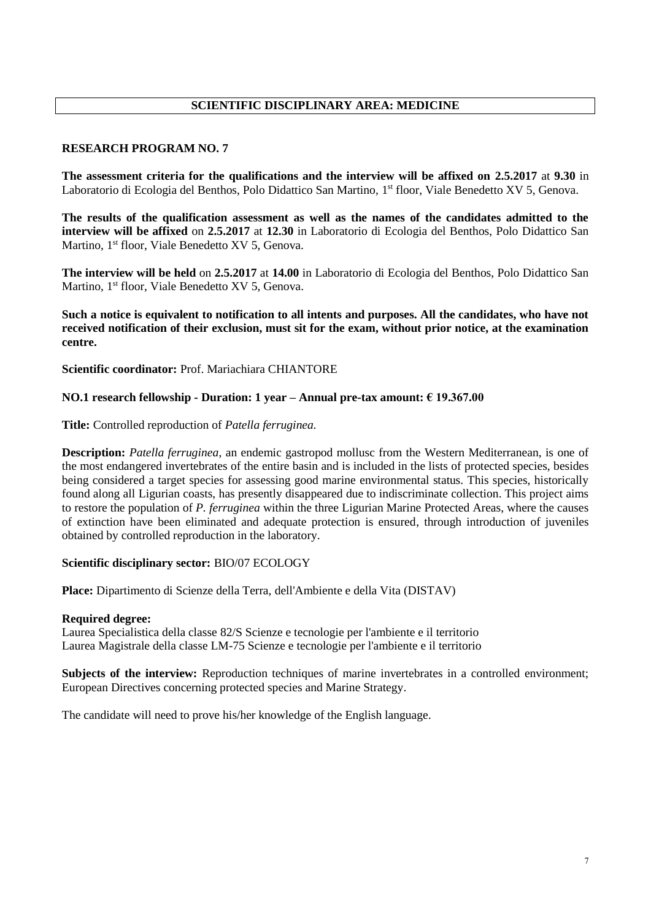# **SCIENTIFIC DISCIPLINARY AREA: MEDICINE**

## **RESEARCH PROGRAM NO. 7**

**The assessment criteria for the qualifications and the interview will be affixed on 2.5.2017** at **9.30** in Laboratorio di Ecologia del Benthos, Polo Didattico San Martino, 1<sup>st</sup> floor, Viale Benedetto XV 5, Genova.

**The results of the qualification assessment as well as the names of the candidates admitted to the interview will be affixed** on **2.5.2017** at **12.30** in Laboratorio di Ecologia del Benthos, Polo Didattico San Martino, 1<sup>st</sup> floor, Viale Benedetto XV 5, Genova.

**The interview will be held** on **2.5.2017** at **14.00** in Laboratorio di Ecologia del Benthos, Polo Didattico San Martino, 1<sup>st</sup> floor, Viale Benedetto XV 5, Genova.

**Such a notice is equivalent to notification to all intents and purposes. All the candidates, who have not received notification of their exclusion, must sit for the exam, without prior notice, at the examination centre.**

**Scientific coordinator:** Prof. Mariachiara CHIANTORE

#### **NO.1 research fellowship - Duration: 1 year – Annual pre-tax amount: € 19.367.00**

**Title:** Controlled reproduction of *Patella ferruginea.*

**Description:** *Patella ferruginea*, an endemic gastropod mollusc from the Western Mediterranean, is one of the most endangered invertebrates of the entire basin and is included in the lists of protected species, besides being considered a target species for assessing good marine environmental status. This species, historically found along all Ligurian coasts, has presently disappeared due to indiscriminate collection. This project aims to restore the population of *P. ferruginea* within the three Ligurian Marine Protected Areas, where the causes of extinction have been eliminated and adequate protection is ensured, through introduction of juveniles obtained by controlled reproduction in the laboratory.

#### **Scientific disciplinary sector:** BIO/07 ECOLOGY

**Place:** Dipartimento di Scienze della Terra, dell'Ambiente e della Vita (DISTAV)

#### **Required degree:**

Laurea Specialistica della classe 82/S Scienze e tecnologie per l'ambiente e il territorio Laurea Magistrale della classe LM-75 Scienze e tecnologie per l'ambiente e il territorio

**Subjects of the interview:** Reproduction techniques of marine invertebrates in a controlled environment; European Directives concerning protected species and Marine Strategy.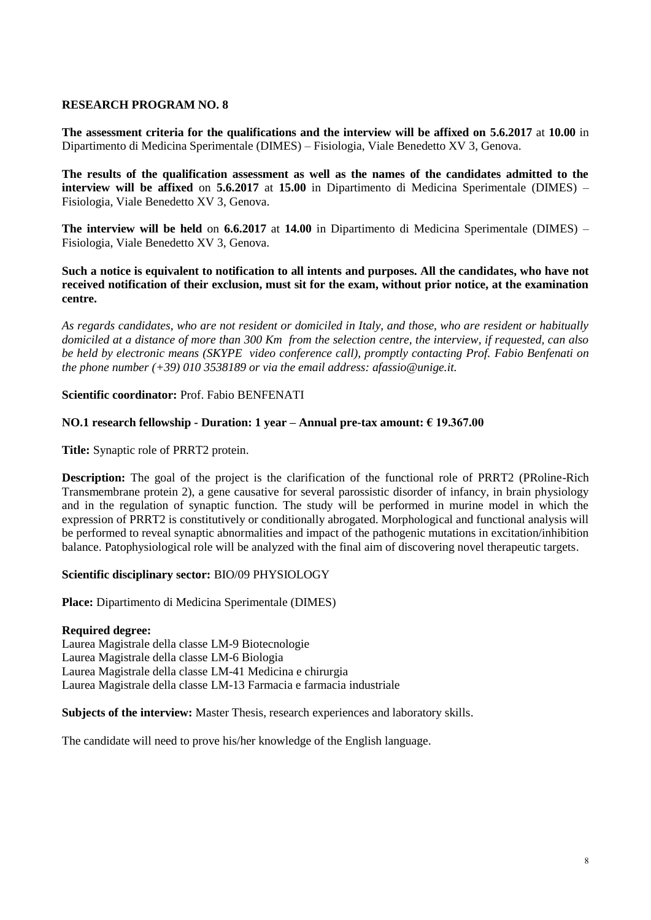**The assessment criteria for the qualifications and the interview will be affixed on 5.6.2017** at **10.00** in Dipartimento di Medicina Sperimentale (DIMES) – Fisiologia, Viale Benedetto XV 3, Genova.

**The results of the qualification assessment as well as the names of the candidates admitted to the interview will be affixed** on **5.6.2017** at **15.00** in Dipartimento di Medicina Sperimentale (DIMES) – Fisiologia, Viale Benedetto XV 3, Genova.

**The interview will be held** on **6.6.2017** at **14.00** in Dipartimento di Medicina Sperimentale (DIMES) – Fisiologia, Viale Benedetto XV 3, Genova.

**Such a notice is equivalent to notification to all intents and purposes. All the candidates, who have not received notification of their exclusion, must sit for the exam, without prior notice, at the examination centre.**

*As regards candidates, who are not resident or domiciled in Italy, and those, who are resident or habitually domiciled at a distance of more than 300 Km from the selection centre, the interview, if requested, can also be held by electronic means (SKYPE video conference call), promptly contacting Prof. Fabio Benfenati on the phone number (+39) 010 3538189 or via the email address: afassio@unige.it.*

#### **Scientific coordinator:** Prof. Fabio BENFENATI

#### **NO.1 research fellowship - Duration: 1 year – Annual pre-tax amount: € 19.367.00**

**Title:** Synaptic role of PRRT2 protein.

**Description:** The goal of the project is the clarification of the functional role of PRRT2 (PRoline-Rich Transmembrane protein 2), a gene causative for several parossistic disorder of infancy, in brain physiology and in the regulation of synaptic function. The study will be performed in murine model in which the expression of PRRT2 is constitutively or conditionally abrogated. Morphological and functional analysis will be performed to reveal synaptic abnormalities and impact of the pathogenic mutations in excitation/inhibition balance. Patophysiological role will be analyzed with the final aim of discovering novel therapeutic targets.

#### **Scientific disciplinary sector:** BIO/09 PHYSIOLOGY

**Place:** Dipartimento di Medicina Sperimentale (DIMES)

#### **Required degree:**

Laurea Magistrale della classe LM-9 Biotecnologie Laurea Magistrale della classe LM-6 Biologia Laurea Magistrale della classe LM-41 Medicina e chirurgia Laurea Magistrale della classe LM-13 Farmacia e farmacia industriale

**Subjects of the interview:** Master Thesis, research experiences and laboratory skills.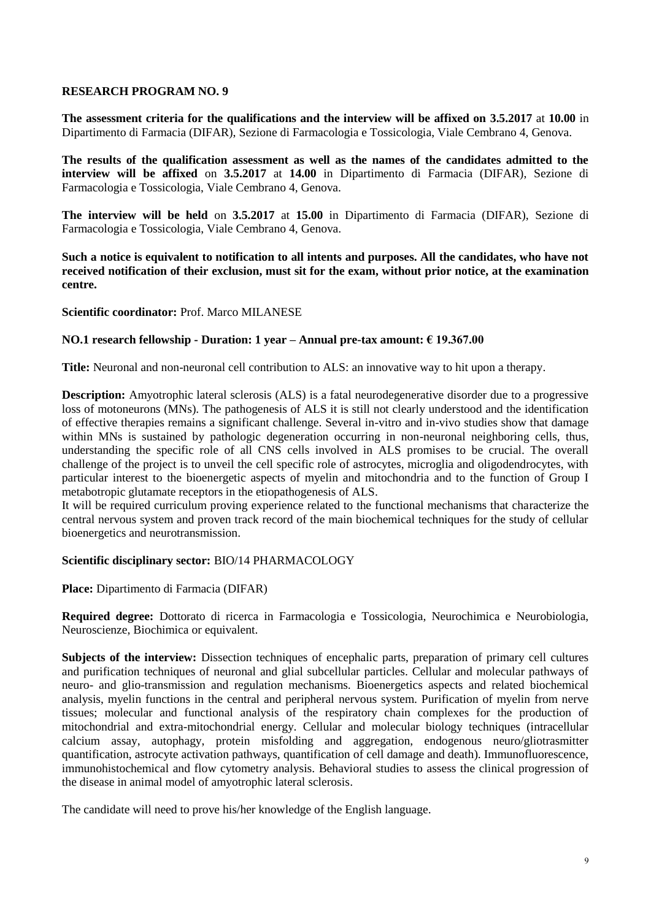**The assessment criteria for the qualifications and the interview will be affixed on 3.5.2017** at **10.00** in Dipartimento di Farmacia (DIFAR), Sezione di Farmacologia e Tossicologia, Viale Cembrano 4, Genova.

**The results of the qualification assessment as well as the names of the candidates admitted to the interview will be affixed** on **3.5.2017** at **14.00** in Dipartimento di Farmacia (DIFAR), Sezione di Farmacologia e Tossicologia, Viale Cembrano 4, Genova.

**The interview will be held** on **3.5.2017** at **15.00** in Dipartimento di Farmacia (DIFAR), Sezione di Farmacologia e Tossicologia, Viale Cembrano 4, Genova.

**Such a notice is equivalent to notification to all intents and purposes. All the candidates, who have not received notification of their exclusion, must sit for the exam, without prior notice, at the examination centre.**

#### **Scientific coordinator:** Prof. Marco MILANESE

#### **NO.1 research fellowship - Duration: 1 year – Annual pre-tax amount: € 19.367.00**

**Title:** Neuronal and non-neuronal cell contribution to ALS: an innovative way to hit upon a therapy.

**Description:** Amyotrophic lateral sclerosis (ALS) is a fatal neurodegenerative disorder due to a progressive loss of motoneurons (MNs). The pathogenesis of ALS it is still not clearly understood and the identification of effective therapies remains a significant challenge. Several in-vitro and in-vivo studies show that damage within MNs is sustained by pathologic degeneration occurring in non-neuronal neighboring cells, thus, understanding the specific role of all CNS cells involved in ALS promises to be crucial. The overall challenge of the project is to unveil the cell specific role of astrocytes, microglia and oligodendrocytes, with particular interest to the bioenergetic aspects of myelin and mitochondria and to the function of Group I metabotropic glutamate receptors in the etiopathogenesis of ALS.

It will be required curriculum proving experience related to the functional mechanisms that characterize the central nervous system and proven track record of the main biochemical techniques for the study of cellular bioenergetics and neurotransmission.

#### **Scientific disciplinary sector:** BIO/14 PHARMACOLOGY

**Place:** Dipartimento di Farmacia (DIFAR)

**Required degree:** Dottorato di ricerca in Farmacologia e Tossicologia, Neurochimica e Neurobiologia, Neuroscienze, Biochimica or equivalent.

**Subjects of the interview:** Dissection techniques of encephalic parts, preparation of primary cell cultures and purification techniques of neuronal and glial subcellular particles. Cellular and molecular pathways of neuro- and glio-transmission and regulation mechanisms. Bioenergetics aspects and related biochemical analysis, myelin functions in the central and peripheral nervous system. Purification of myelin from nerve tissues; molecular and functional analysis of the respiratory chain complexes for the production of mitochondrial and extra-mitochondrial energy. Cellular and molecular biology techniques (intracellular calcium assay, autophagy, protein misfolding and aggregation, endogenous neuro/gliotrasmitter quantification, astrocyte activation pathways, quantification of cell damage and death). Immunofluorescence, immunohistochemical and flow cytometry analysis. Behavioral studies to assess the clinical progression of the disease in animal model of amyotrophic lateral sclerosis.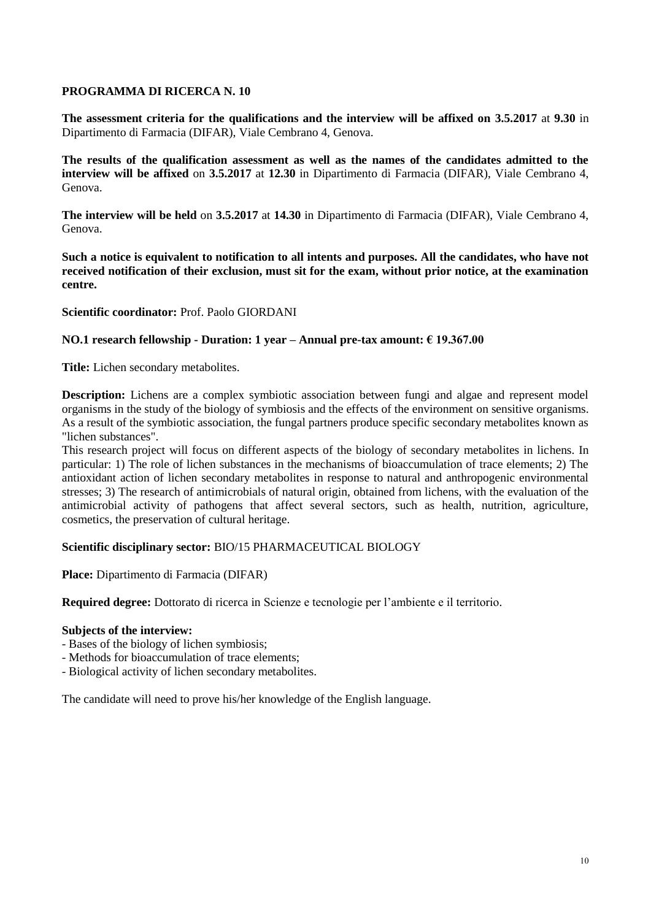## **PROGRAMMA DI RICERCA N. 10**

**The assessment criteria for the qualifications and the interview will be affixed on 3.5.2017** at **9.30** in Dipartimento di Farmacia (DIFAR), Viale Cembrano 4, Genova.

**The results of the qualification assessment as well as the names of the candidates admitted to the interview will be affixed** on **3.5.2017** at **12.30** in Dipartimento di Farmacia (DIFAR), Viale Cembrano 4, Genova.

**The interview will be held** on **3.5.2017** at **14.30** in Dipartimento di Farmacia (DIFAR), Viale Cembrano 4, Genova.

**Such a notice is equivalent to notification to all intents and purposes. All the candidates, who have not received notification of their exclusion, must sit for the exam, without prior notice, at the examination centre.**

#### **Scientific coordinator:** Prof. Paolo GIORDANI

#### **NO.1 research fellowship - Duration: 1 year – Annual pre-tax amount: € 19.367.00**

**Title:** Lichen secondary metabolites.

**Description:** Lichens are a complex symbiotic association between fungi and algae and represent model organisms in the study of the biology of symbiosis and the effects of the environment on sensitive organisms. As a result of the symbiotic association, the fungal partners produce specific secondary metabolites known as "lichen substances".

This research project will focus on different aspects of the biology of secondary metabolites in lichens. In particular: 1) The role of lichen substances in the mechanisms of bioaccumulation of trace elements; 2) The antioxidant action of lichen secondary metabolites in response to natural and anthropogenic environmental stresses; 3) The research of antimicrobials of natural origin, obtained from lichens, with the evaluation of the antimicrobial activity of pathogens that affect several sectors, such as health, nutrition, agriculture, cosmetics, the preservation of cultural heritage.

#### **Scientific disciplinary sector:** BIO/15 PHARMACEUTICAL BIOLOGY

**Place:** Dipartimento di Farmacia (DIFAR)

**Required degree:** Dottorato di ricerca in Scienze e tecnologie per l'ambiente e il territorio.

#### **Subjects of the interview:**

- Bases of the biology of lichen symbiosis;
- Methods for bioaccumulation of trace elements;
- Biological activity of lichen secondary metabolites.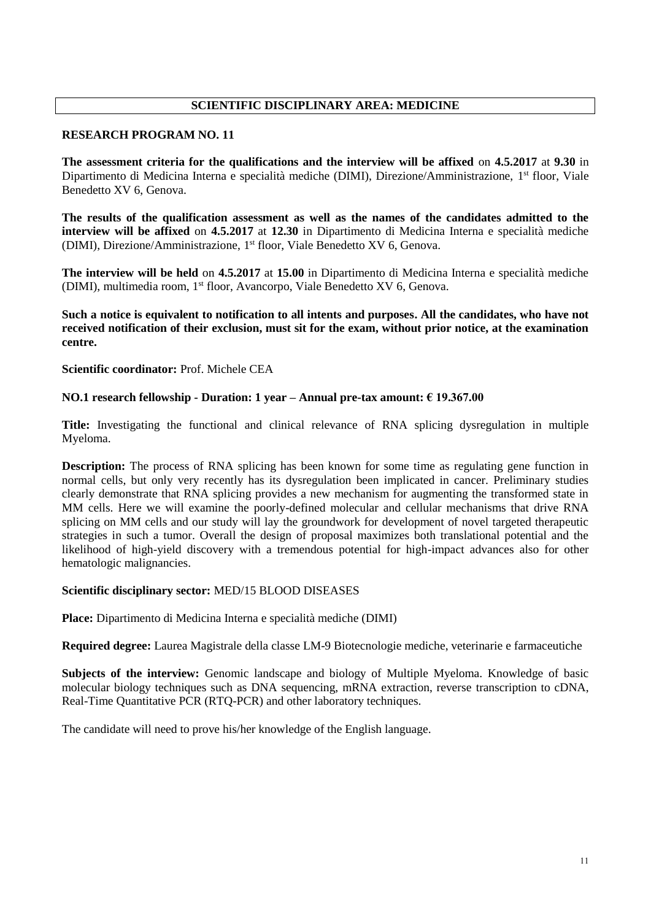# **SCIENTIFIC DISCIPLINARY AREA: MEDICINE**

### **RESEARCH PROGRAM NO. 11**

**The assessment criteria for the qualifications and the interview will be affixed** on **4.5.2017** at **9.30** in Dipartimento di Medicina Interna e specialità mediche (DIMI), Direzione/Amministrazione, 1<sup>st</sup> floor, Viale Benedetto XV 6, Genova.

**The results of the qualification assessment as well as the names of the candidates admitted to the interview will be affixed** on **4.5.2017** at **12.30** in Dipartimento di Medicina Interna e specialità mediche (DIMI), Direzione/Amministrazione, 1 st floor, Viale Benedetto XV 6, Genova.

**The interview will be held** on **4.5.2017** at **15.00** in Dipartimento di Medicina Interna e specialità mediche (DIMI), multimedia room, 1<sup>st</sup> floor, Avancorpo, Viale Benedetto XV 6, Genova.

**Such a notice is equivalent to notification to all intents and purposes. All the candidates, who have not received notification of their exclusion, must sit for the exam, without prior notice, at the examination centre.**

**Scientific coordinator:** Prof. Michele CEA

## **NO.1 research fellowship - Duration: 1 year – Annual pre-tax amount: € 19.367.00**

**Title:** Investigating the functional and clinical relevance of RNA splicing dysregulation in multiple Myeloma.

**Description:** The process of RNA splicing has been known for some time as regulating gene function in normal cells, but only very recently has its dysregulation been implicated in cancer. Preliminary studies clearly demonstrate that RNA splicing provides a new mechanism for augmenting the transformed state in MM cells. Here we will examine the poorly-defined molecular and cellular mechanisms that drive RNA splicing on MM cells and our study will lay the groundwork for development of novel targeted therapeutic strategies in such a tumor. Overall the design of proposal maximizes both translational potential and the likelihood of high-yield discovery with a tremendous potential for high-impact advances also for other hematologic malignancies.

#### **Scientific disciplinary sector:** MED/15 BLOOD DISEASES

**Place:** Dipartimento di Medicina Interna e specialità mediche (DIMI)

**Required degree:** Laurea Magistrale della classe LM-9 Biotecnologie mediche, veterinarie e farmaceutiche

**Subjects of the interview:** Genomic landscape and biology of Multiple Myeloma. Knowledge of basic molecular biology techniques such as DNA sequencing, mRNA extraction, reverse transcription to cDNA, Real-Time Quantitative PCR (RTQ-PCR) and other laboratory techniques.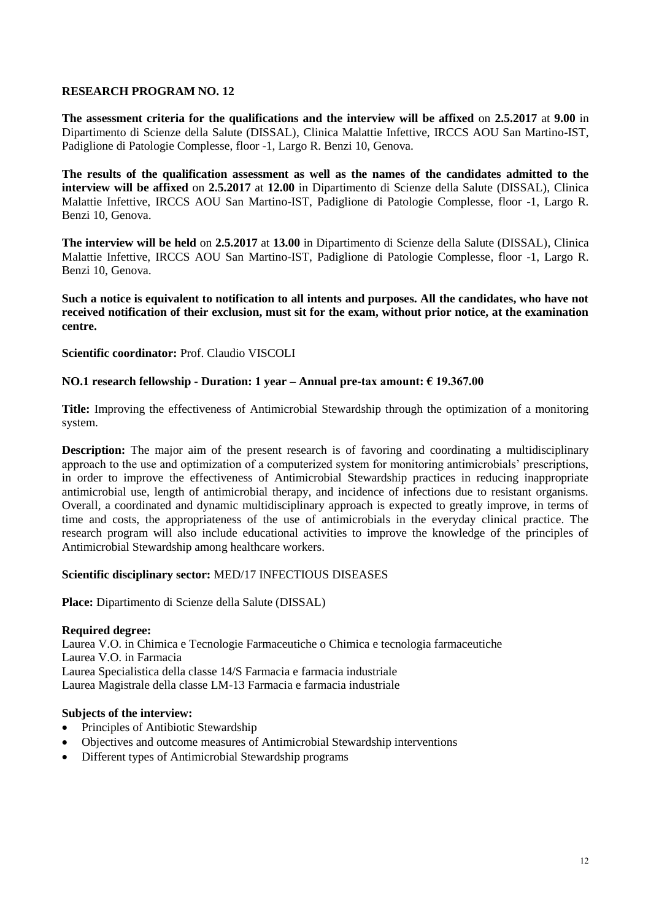**The assessment criteria for the qualifications and the interview will be affixed** on **2.5.2017** at **9.00** in Dipartimento di Scienze della Salute (DISSAL), Clinica Malattie Infettive, IRCCS AOU San Martino-IST, Padiglione di Patologie Complesse, floor -1, Largo R. Benzi 10, Genova.

**The results of the qualification assessment as well as the names of the candidates admitted to the interview will be affixed** on **2.5.2017** at **12.00** in Dipartimento di Scienze della Salute (DISSAL), Clinica Malattie Infettive, IRCCS AOU San Martino-IST, Padiglione di Patologie Complesse, floor -1, Largo R. Benzi 10, Genova.

**The interview will be held** on **2.5.2017** at **13.00** in Dipartimento di Scienze della Salute (DISSAL), Clinica Malattie Infettive, IRCCS AOU San Martino-IST, Padiglione di Patologie Complesse, floor -1, Largo R. Benzi 10, Genova.

**Such a notice is equivalent to notification to all intents and purposes. All the candidates, who have not received notification of their exclusion, must sit for the exam, without prior notice, at the examination centre.**

**Scientific coordinator:** Prof. Claudio VISCOLI

## **NO.1 research fellowship - Duration: 1 year – Annual pre-tax amount: € 19.367.00**

**Title:** Improving the effectiveness of Antimicrobial Stewardship through the optimization of a monitoring system.

**Description:** The major aim of the present research is of favoring and coordinating a multidisciplinary approach to the use and optimization of a computerized system for monitoring antimicrobials' prescriptions, in order to improve the effectiveness of Antimicrobial Stewardship practices in reducing inappropriate antimicrobial use, length of antimicrobial therapy, and incidence of infections due to resistant organisms. Overall, a coordinated and dynamic multidisciplinary approach is expected to greatly improve, in terms of time and costs, the appropriateness of the use of antimicrobials in the everyday clinical practice. The research program will also include educational activities to improve the knowledge of the principles of Antimicrobial Stewardship among healthcare workers.

#### **Scientific disciplinary sector:** MED/17 INFECTIOUS DISEASES

**Place:** Dipartimento di Scienze della Salute (DISSAL)

#### **Required degree:**

Laurea V.O. in Chimica e Tecnologie Farmaceutiche o Chimica e tecnologia farmaceutiche Laurea V.O. in Farmacia Laurea Specialistica della classe 14/S Farmacia e farmacia industriale Laurea Magistrale della classe LM-13 Farmacia e farmacia industriale

#### **Subjects of the interview:**

- Principles of Antibiotic Stewardship
- Objectives and outcome measures of Antimicrobial Stewardship interventions
- Different types of Antimicrobial Stewardship programs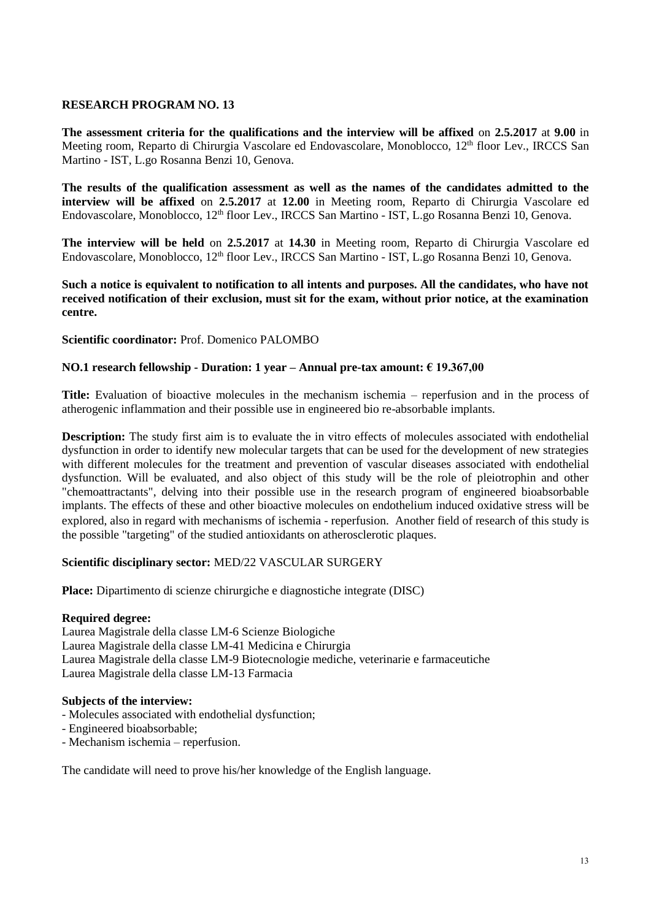**The assessment criteria for the qualifications and the interview will be affixed** on **2.5.2017** at **9.00** in Meeting room, Reparto di Chirurgia Vascolare ed Endovascolare, Monoblocco, 12<sup>th</sup> floor Lev., IRCCS San Martino - IST, L.go Rosanna Benzi 10, Genova.

**The results of the qualification assessment as well as the names of the candidates admitted to the interview will be affixed** on **2.5.2017** at **12.00** in Meeting room, Reparto di Chirurgia Vascolare ed Endovascolare, Monoblocco, 12<sup>th</sup> floor Lev., IRCCS San Martino - IST, L.go Rosanna Benzi 10, Genova.

**The interview will be held** on **2.5.2017** at **14.30** in Meeting room, Reparto di Chirurgia Vascolare ed Endovascolare, Monoblocco, 12<sup>th</sup> floor Lev., IRCCS San Martino - IST, L.go Rosanna Benzi 10, Genova.

**Such a notice is equivalent to notification to all intents and purposes. All the candidates, who have not received notification of their exclusion, must sit for the exam, without prior notice, at the examination centre.**

#### **Scientific coordinator:** Prof. Domenico PALOMBO

#### **NO.1 research fellowship - Duration: 1 year – Annual pre-tax amount: € 19.367,00**

**Title:** Evaluation of bioactive molecules in the mechanism ischemia – reperfusion and in the process of atherogenic inflammation and their possible use in engineered bio re-absorbable implants.

**Description:** The study first aim is to evaluate the in vitro effects of molecules associated with endothelial dysfunction in order to identify new molecular targets that can be used for the development of new strategies with different molecules for the treatment and prevention of vascular diseases associated with endothelial dysfunction. Will be evaluated, and also object of this study will be the role of pleiotrophin and other "chemoattractants", delving into their possible use in the research program of engineered bioabsorbable implants. The effects of these and other bioactive molecules on endothelium induced oxidative stress will be explored, also in regard with mechanisms of ischemia - reperfusion. Another field of research of this study is the possible "targeting" of the studied antioxidants on atherosclerotic plaques.

#### **Scientific disciplinary sector:** MED/22 VASCULAR SURGERY

**Place:** [Dipartimento di scienze chirurgiche e diagnostiche integrate \(DISC\)](https://unige.it/strutture/ou/rdn/N0QIKShqFRhqKzFoIgEWEANeTxRWaAxeGxcWeFcmCVIoTQ==)

#### **Required degree:**

Laurea Magistrale della classe LM-6 Scienze Biologiche Laurea Magistrale della classe LM-41 Medicina e Chirurgia Laurea Magistrale della classe LM-9 Biotecnologie mediche, veterinarie e farmaceutiche Laurea Magistrale della classe LM-13 Farmacia

### **Subjects of the interview:**

- Molecules associated with endothelial dysfunction;
- Engineered bioabsorbable;
- Mechanism ischemia reperfusion.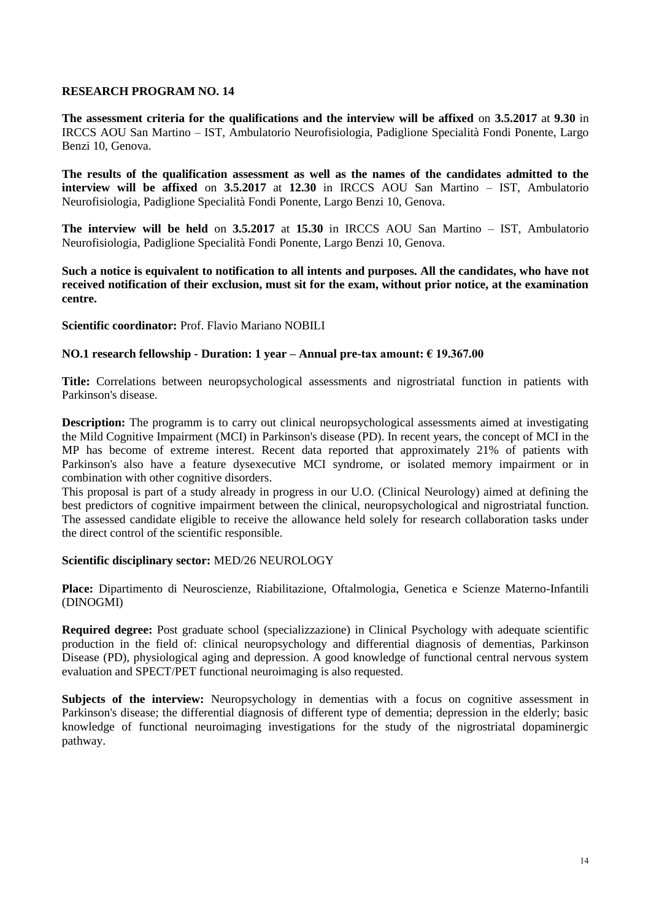**The assessment criteria for the qualifications and the interview will be affixed** on **3.5.2017** at **9.30** in IRCCS AOU San Martino – IST, Ambulatorio Neurofisiologia, Padiglione Specialità Fondi Ponente, Largo Benzi 10, Genova.

**The results of the qualification assessment as well as the names of the candidates admitted to the interview will be affixed** on **3.5.2017** at **12.30** in IRCCS AOU San Martino – IST, Ambulatorio Neurofisiologia, Padiglione Specialità Fondi Ponente, Largo Benzi 10, Genova.

**The interview will be held** on **3.5.2017** at **15.30** in IRCCS AOU San Martino – IST, Ambulatorio Neurofisiologia, Padiglione Specialità Fondi Ponente, Largo Benzi 10, Genova.

**Such a notice is equivalent to notification to all intents and purposes. All the candidates, who have not received notification of their exclusion, must sit for the exam, without prior notice, at the examination centre.**

**Scientific coordinator:** Prof. Flavio Mariano NOBILI

#### **NO.1 research fellowship - Duration: 1 year – Annual pre-tax amount: € 19.367.00**

**Title:** Correlations between neuropsychological assessments and nigrostriatal function in patients with Parkinson's disease.

**Description:** The programm is to carry out clinical neuropsychological assessments aimed at investigating the Mild Cognitive Impairment (MCI) in Parkinson's disease (PD). In recent years, the concept of MCI in the MP has become of extreme interest. Recent data reported that approximately 21% of patients with Parkinson's also have a feature dysexecutive MCI syndrome, or isolated memory impairment or in combination with other cognitive disorders.

This proposal is part of a study already in progress in our U.O. (Clinical Neurology) aimed at defining the best predictors of cognitive impairment between the clinical, neuropsychological and nigrostriatal function. The assessed candidate eligible to receive the allowance held solely for research collaboration tasks under the direct control of the scientific responsible.

#### **Scientific disciplinary sector:** MED/26 NEUROLOGY

**Place:** Dipartimento di Neuroscienze, Riabilitazione, Oftalmologia, Genetica e Scienze Materno-Infantili (DINOGMI)

**Required degree:** Post graduate school (specializzazione) in Clinical Psychology with adequate scientific production in the field of: clinical neuropsychology and differential diagnosis of dementias, Parkinson Disease (PD), physiological aging and depression. A good knowledge of functional central nervous system evaluation and SPECT/PET functional neuroimaging is also requested.

Subjects of the interview: Neuropsychology in dementias with a focus on cognitive assessment in Parkinson's disease; the differential diagnosis of different type of dementia; depression in the elderly; basic knowledge of functional neuroimaging investigations for the study of the nigrostriatal dopaminergic pathway.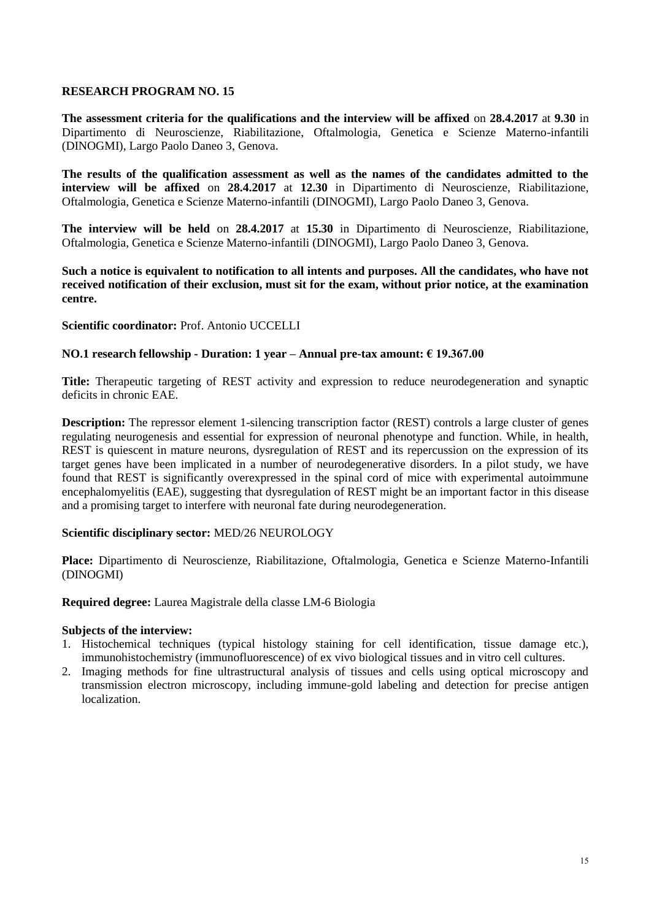**The assessment criteria for the qualifications and the interview will be affixed** on **28.4.2017** at **9.30** in Dipartimento di Neuroscienze, Riabilitazione, Oftalmologia, Genetica e Scienze Materno-infantili (DINOGMI), Largo Paolo Daneo 3, Genova.

**The results of the qualification assessment as well as the names of the candidates admitted to the interview will be affixed** on **28.4.2017** at **12.30** in Dipartimento di Neuroscienze, Riabilitazione, Oftalmologia, Genetica e Scienze Materno-infantili (DINOGMI), Largo Paolo Daneo 3, Genova.

**The interview will be held** on **28.4.2017** at **15.30** in Dipartimento di Neuroscienze, Riabilitazione, Oftalmologia, Genetica e Scienze Materno-infantili (DINOGMI), Largo Paolo Daneo 3, Genova.

**Such a notice is equivalent to notification to all intents and purposes. All the candidates, who have not received notification of their exclusion, must sit for the exam, without prior notice, at the examination centre.**

#### **Scientific coordinator:** Prof. Antonio UCCELLI

## **NO.1 research fellowship - Duration: 1 year – Annual pre-tax amount: € 19.367.00**

**Title:** Therapeutic targeting of REST activity and expression to reduce neurodegeneration and synaptic deficits in chronic EAE.

**Description:** The repressor element 1-silencing transcription factor (REST) controls a large cluster of genes regulating neurogenesis and essential for expression of neuronal phenotype and function. While, in health, REST is quiescent in mature neurons, dysregulation of REST and its repercussion on the expression of its target genes have been implicated in a number of neurodegenerative disorders. In a pilot study, we have found that REST is significantly overexpressed in the spinal cord of mice with experimental autoimmune encephalomyelitis (EAE), suggesting that dysregulation of REST might be an important factor in this disease and a promising target to interfere with neuronal fate during neurodegeneration.

#### **Scientific disciplinary sector:** MED/26 NEUROLOGY

**Place:** Dipartimento di Neuroscienze, Riabilitazione, Oftalmologia, Genetica e Scienze Materno-Infantili (DINOGMI)

#### **Required degree:** Laurea Magistrale della classe LM-6 Biologia

#### **Subjects of the interview:**

- 1. Histochemical techniques (typical histology staining for cell identification, tissue damage etc.), immunohistochemistry (immunofluorescence) of ex vivo biological tissues and in vitro cell cultures.
- 2. Imaging methods for fine ultrastructural analysis of tissues and cells using optical microscopy and transmission electron microscopy, including immune-gold labeling and detection for precise antigen localization.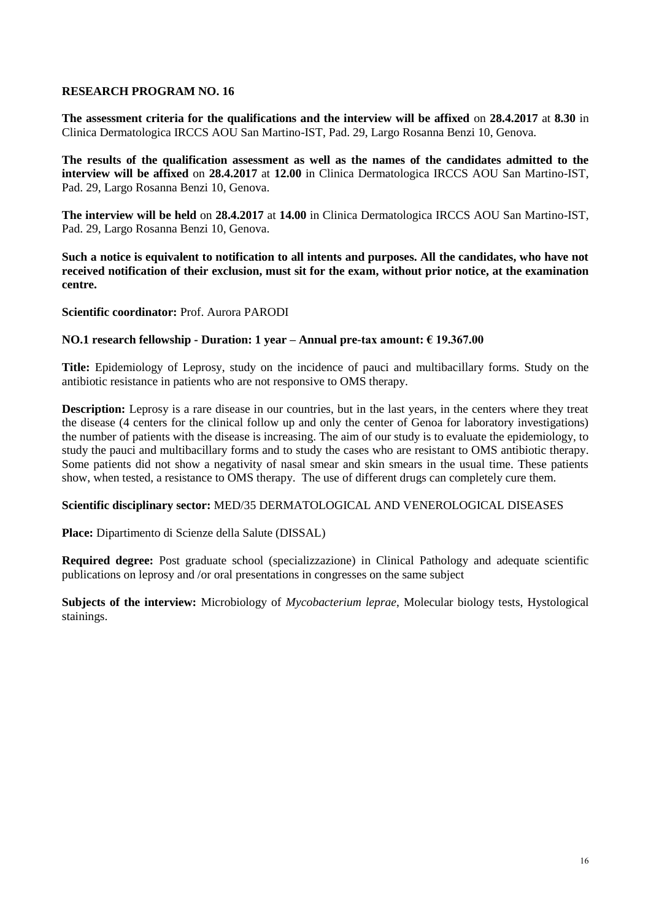**The assessment criteria for the qualifications and the interview will be affixed** on **28.4.2017** at **8.30** in Clinica Dermatologica IRCCS AOU San Martino-IST, Pad. 29, Largo Rosanna Benzi 10, Genova.

**The results of the qualification assessment as well as the names of the candidates admitted to the interview will be affixed** on **28.4.2017** at **12.00** in Clinica Dermatologica IRCCS AOU San Martino-IST, Pad. 29, Largo Rosanna Benzi 10, Genova.

**The interview will be held** on **28.4.2017** at **14.00** in Clinica Dermatologica IRCCS AOU San Martino-IST, Pad. 29, Largo Rosanna Benzi 10, Genova.

**Such a notice is equivalent to notification to all intents and purposes. All the candidates, who have not received notification of their exclusion, must sit for the exam, without prior notice, at the examination centre.**

#### **Scientific coordinator:** Prof. Aurora PARODI

#### **NO.1 research fellowship - Duration: 1 year – Annual pre-tax amount: € 19.367.00**

**Title:** Epidemiology of Leprosy, study on the incidence of pauci and multibacillary forms. Study on the antibiotic resistance in patients who are not responsive to OMS therapy.

**Description:** Leprosy is a rare disease in our countries, but in the last years, in the centers where they treat the disease (4 centers for the clinical follow up and only the center of Genoa for laboratory investigations) the number of patients with the disease is increasing. The aim of our study is to evaluate the epidemiology, to study the pauci and multibacillary forms and to study the cases who are resistant to OMS antibiotic therapy. Some patients did not show a negativity of nasal smear and skin smears in the usual time. These patients show, when tested, a resistance to OMS therapy. The use of different drugs can completely cure them.

#### **Scientific disciplinary sector:** MED/35 DERMATOLOGICAL AND VENEROLOGICAL DISEASES

**Place:** Dipartimento di Scienze della Salute (DISSAL)

**Required degree:** Post graduate school (specializzazione) in Clinical Pathology and adequate scientific publications on leprosy and /or oral presentations in congresses on the same subject

**Subjects of the interview:** Microbiology of *Mycobacterium leprae*, Molecular biology tests, Hystological stainings.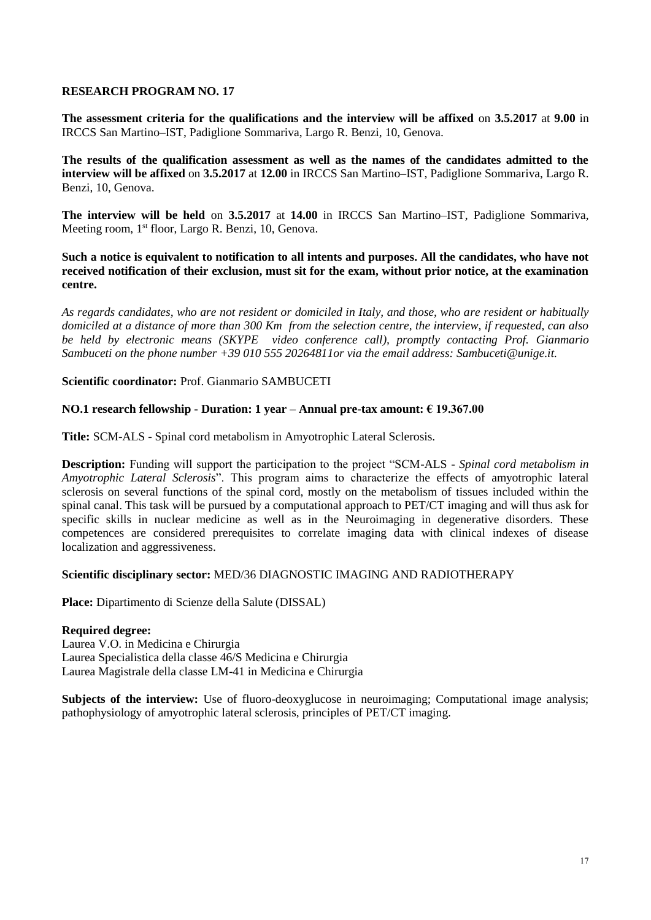**The assessment criteria for the qualifications and the interview will be affixed** on **3.5.2017** at **9.00** in IRCCS San Martino–IST, Padiglione Sommariva, Largo R. Benzi, 10, Genova.

**The results of the qualification assessment as well as the names of the candidates admitted to the interview will be affixed** on **3.5.2017** at **12.00** in IRCCS San Martino–IST, Padiglione Sommariva, Largo R. Benzi, 10, Genova.

**The interview will be held** on **3.5.2017** at **14.00** in IRCCS San Martino–IST, Padiglione Sommariva, Meeting room, 1<sup>st</sup> floor, Largo R. Benzi, 10, Genova.

**Such a notice is equivalent to notification to all intents and purposes. All the candidates, who have not received notification of their exclusion, must sit for the exam, without prior notice, at the examination centre.**

*As regards candidates, who are not resident or domiciled in Italy, and those, who are resident or habitually domiciled at a distance of more than 300 Km from the selection centre, the interview, if requested, can also be held by electronic means (SKYPE video conference call), promptly contacting Prof. Gianmario Sambuceti on the phone number +39 010 555 20264811or via the email address: Sambuceti@unige.it.*

**Scientific coordinator:** Prof. Gianmario SAMBUCETI

#### **NO.1 research fellowship - Duration: 1 year – Annual pre-tax amount: € 19.367.00**

**Title:** SCM-ALS - Spinal cord metabolism in Amyotrophic Lateral Sclerosis.

**Description:** Funding will support the participation to the project "SCM-ALS - *Spinal cord metabolism in Amyotrophic Lateral Sclerosis*". This program aims to characterize the effects of amyotrophic lateral sclerosis on several functions of the spinal cord, mostly on the metabolism of tissues included within the spinal canal. This task will be pursued by a computational approach to PET/CT imaging and will thus ask for specific skills in nuclear medicine as well as in the Neuroimaging in degenerative disorders. These competences are considered prerequisites to correlate imaging data with clinical indexes of disease localization and aggressiveness.

#### **Scientific disciplinary sector:** MED/36 DIAGNOSTIC IMAGING AND RADIOTHERAPY

**Place:** Dipartimento di Scienze della Salute (DISSAL)

#### **Required degree:**

Laurea V.O. in Medicina e Chirurgia Laurea Specialistica della classe 46/S Medicina e Chirurgia Laurea Magistrale della classe LM-41 in Medicina e Chirurgia

**Subjects of the interview:** Use of fluoro-deoxyglucose in neuroimaging; Computational image analysis; pathophysiology of amyotrophic lateral sclerosis, principles of PET/CT imaging.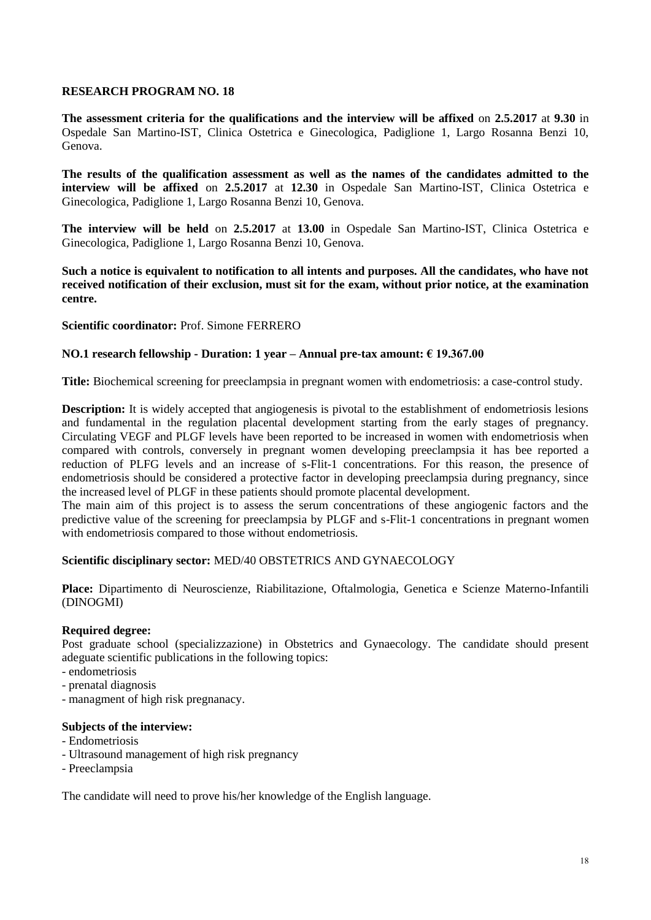**The assessment criteria for the qualifications and the interview will be affixed** on **2.5.2017** at **9.30** in Ospedale San Martino-IST, Clinica Ostetrica e Ginecologica, Padiglione 1, Largo Rosanna Benzi 10, Genova.

**The results of the qualification assessment as well as the names of the candidates admitted to the interview will be affixed** on **2.5.2017** at **12.30** in Ospedale San Martino-IST, Clinica Ostetrica e Ginecologica, Padiglione 1, Largo Rosanna Benzi 10, Genova.

**The interview will be held** on **2.5.2017** at **13.00** in Ospedale San Martino-IST, Clinica Ostetrica e Ginecologica, Padiglione 1, Largo Rosanna Benzi 10, Genova.

**Such a notice is equivalent to notification to all intents and purposes. All the candidates, who have not received notification of their exclusion, must sit for the exam, without prior notice, at the examination centre.**

#### **Scientific coordinator:** Prof. Simone FERRERO

## **NO.1 research fellowship - Duration: 1 year – Annual pre-tax amount: € 19.367.00**

**Title:** Biochemical screening for preeclampsia in pregnant women with endometriosis: a case-control study.

**Description:** It is widely accepted that angiogenesis is pivotal to the establishment of endometriosis lesions and fundamental in the regulation placental development starting from the early stages of pregnancy. Circulating VEGF and PLGF levels have been reported to be increased in women with endometriosis when compared with controls, conversely in pregnant women developing preeclampsia it has bee reported a reduction of PLFG levels and an increase of s-Flit-1 concentrations. For this reason, the presence of endometriosis should be considered a protective factor in developing preeclampsia during pregnancy, since the increased level of PLGF in these patients should promote placental development.

The main aim of this project is to assess the serum concentrations of these angiogenic factors and the predictive value of the screening for preeclampsia by PLGF and s-Flit-1 concentrations in pregnant women with endometriosis compared to those without endometriosis.

#### **Scientific disciplinary sector:** MED/40 OBSTETRICS AND GYNAECOLOGY

**Place:** Dipartimento di Neuroscienze, Riabilitazione, Oftalmologia, Genetica e Scienze Materno-Infantili (DINOGMI)

#### **Required degree:**

Post graduate school (specializzazione) in Obstetrics and Gynaecology. The candidate should present adeguate scientific publications in the following topics:

- endometriosis
- prenatal diagnosis
- managment of high risk pregnanacy.

#### **Subjects of the interview:**

- Endometriosis
- Ultrasound management of high risk pregnancy
- Preeclampsia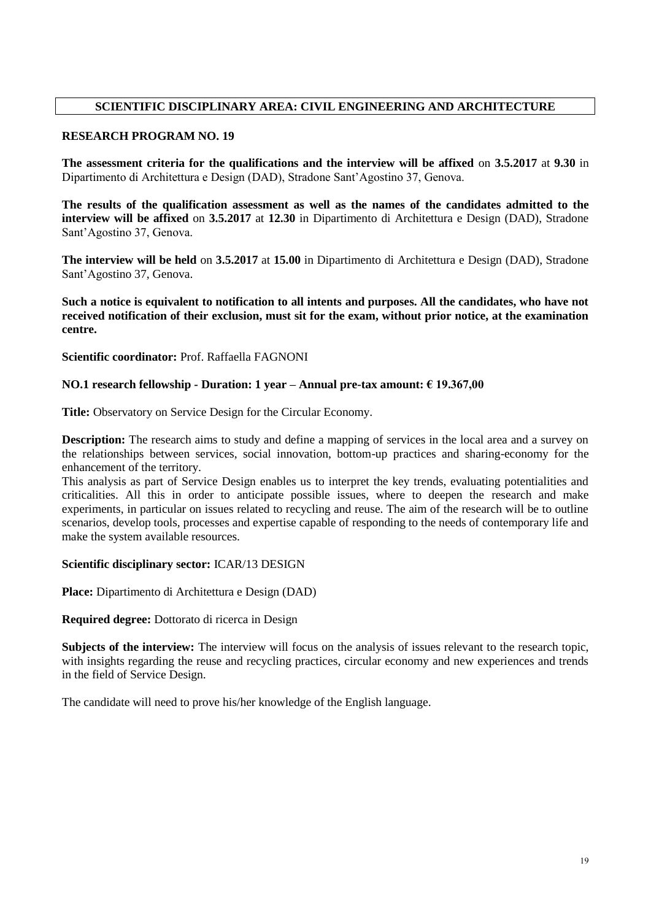# **SCIENTIFIC DISCIPLINARY AREA: CIVIL ENGINEERING AND ARCHITECTURE**

#### **RESEARCH PROGRAM NO. 19**

**The assessment criteria for the qualifications and the interview will be affixed** on **3.5.2017** at **9.30** in Dipartimento di Architettura e Design (DAD), Stradone Sant'Agostino 37, Genova.

**The results of the qualification assessment as well as the names of the candidates admitted to the interview will be affixed** on **3.5.2017** at **12.30** in Dipartimento di Architettura e Design (DAD), Stradone Sant'Agostino 37, Genova.

**The interview will be held** on **3.5.2017** at **15.00** in Dipartimento di Architettura e Design (DAD), Stradone Sant'Agostino 37, Genova.

**Such a notice is equivalent to notification to all intents and purposes. All the candidates, who have not received notification of their exclusion, must sit for the exam, without prior notice, at the examination centre.**

**Scientific coordinator:** Prof. Raffaella FAGNONI

## **NO.1 research fellowship - Duration: 1 year – Annual pre-tax amount: € 19.367,00**

**Title:** Observatory on Service Design for the Circular Economy.

**Description:** The research aims to study and define a mapping of services in the local area and a survey on the relationships between services, social innovation, bottom-up practices and sharing-economy for the enhancement of the territory.

This analysis as part of Service Design enables us to interpret the key trends, evaluating potentialities and criticalities. All this in order to anticipate possible issues, where to deepen the research and make experiments, in particular on issues related to recycling and reuse. The aim of the research will be to outline scenarios, develop tools, processes and expertise capable of responding to the needs of contemporary life and make the system available resources.

#### **Scientific disciplinary sector:** ICAR/13 DESIGN

**Place:** Dipartimento di Architettura e Design (DAD)

**Required degree:** Dottorato di ricerca in Design

**Subjects of the interview:** The interview will focus on the analysis of issues relevant to the research topic, with insights regarding the reuse and recycling practices, circular economy and new experiences and trends in the field of Service Design.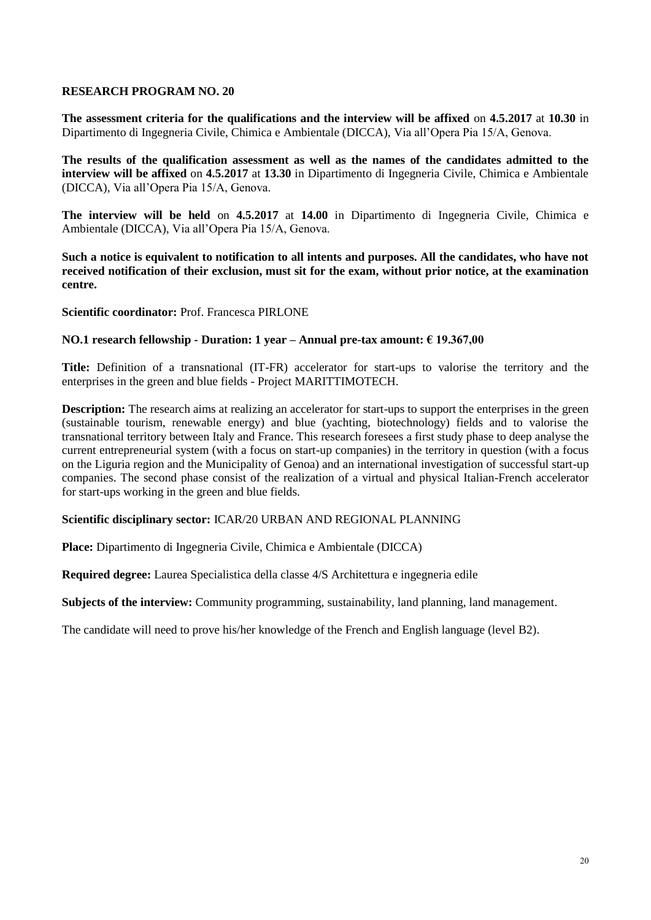**The assessment criteria for the qualifications and the interview will be affixed** on **4.5.2017** at **10.30** in Dipartimento di Ingegneria Civile, Chimica e Ambientale (DICCA), Via all'Opera Pia 15/A, Genova.

**The results of the qualification assessment as well as the names of the candidates admitted to the interview will be affixed** on **4.5.2017** at **13.30** in Dipartimento di Ingegneria Civile, Chimica e Ambientale (DICCA), Via all'Opera Pia 15/A, Genova.

**The interview will be held** on **4.5.2017** at **14.00** in Dipartimento di Ingegneria Civile, Chimica e Ambientale (DICCA), Via all'Opera Pia 15/A, Genova.

**Such a notice is equivalent to notification to all intents and purposes. All the candidates, who have not received notification of their exclusion, must sit for the exam, without prior notice, at the examination centre.**

**Scientific coordinator:** Prof. Francesca PIRLONE

#### **NO.1 research fellowship - Duration: 1 year – Annual pre-tax amount: € 19.367,00**

**Title:** Definition of a transnational (IT-FR) accelerator for start-ups to valorise the territory and the enterprises in the green and blue fields - Project MARITTIMOTECH.

**Description:** The research aims at realizing an accelerator for start-ups to support the enterprises in the green (sustainable tourism, renewable energy) and blue (yachting, biotechnology) fields and to valorise the transnational territory between Italy and France. This research foresees a first study phase to deep analyse the current entrepreneurial system (with a focus on start-up companies) in the territory in question (with a focus on the Liguria region and the Municipality of Genoa) and an international investigation of successful start-up companies. The second phase consist of the realization of a virtual and physical Italian-French accelerator for start-ups working in the green and blue fields.

#### **Scientific disciplinary sector:** ICAR/20 URBAN AND REGIONAL PLANNING

**Place:** Dipartimento di Ingegneria Civile, Chimica e Ambientale (DICCA)

**Required degree:** Laurea Specialistica della classe 4/S Architettura e ingegneria edile

**Subjects of the interview:** Community programming, sustainability, land planning, land management.

The candidate will need to prove his/her knowledge of the French and English language (level B2).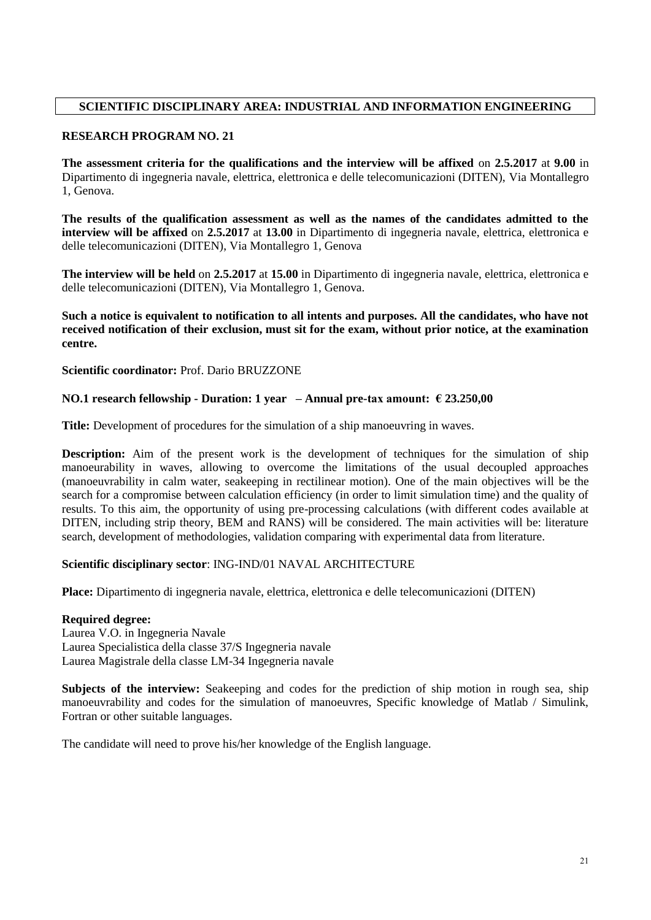# **SCIENTIFIC DISCIPLINARY AREA: INDUSTRIAL AND INFORMATION ENGINEERING**

### **RESEARCH PROGRAM NO. 21**

**The assessment criteria for the qualifications and the interview will be affixed** on **2.5.2017** at **9.00** in Dipartimento di ingegneria navale, elettrica, elettronica e delle telecomunicazioni (DITEN), Via Montallegro 1, Genova.

**The results of the qualification assessment as well as the names of the candidates admitted to the interview will be affixed** on **2.5.2017** at **13.00** in Dipartimento di ingegneria navale, elettrica, elettronica e delle telecomunicazioni (DITEN), Via Montallegro 1, Genova

**The interview will be held** on **2.5.2017** at **15.00** in Dipartimento di ingegneria navale, elettrica, elettronica e delle telecomunicazioni (DITEN), Via Montallegro 1, Genova.

**Such a notice is equivalent to notification to all intents and purposes. All the candidates, who have not received notification of their exclusion, must sit for the exam, without prior notice, at the examination centre.**

**Scientific coordinator:** Prof. Dario BRUZZONE

## **NO.1 research fellowship - Duration: 1 year – Annual pre-tax amount: € 23.250,00**

**Title:** Development of procedures for the simulation of a ship manoeuvring in waves.

**Description:** Aim of the present work is the development of techniques for the simulation of ship manoeurability in waves, allowing to overcome the limitations of the usual decoupled approaches (manoeuvrability in calm water, seakeeping in rectilinear motion). One of the main objectives will be the search for a compromise between calculation efficiency (in order to limit simulation time) and the quality of results. To this aim, the opportunity of using pre-processing calculations (with different codes available at DITEN, including strip theory, BEM and RANS) will be considered. The main activities will be: literature search, development of methodologies, validation comparing with experimental data from literature.

#### **Scientific disciplinary sector**: ING-IND/01 NAVAL ARCHITECTURE

**Place:** Dipartimento di ingegneria navale, elettrica, elettronica e delle telecomunicazioni (DITEN)

#### **Required degree:**

Laurea V.O. in Ingegneria Navale Laurea Specialistica della classe 37/S Ingegneria navale Laurea Magistrale della classe LM-34 Ingegneria navale

**Subjects of the interview:** Seakeeping and codes for the prediction of ship motion in rough sea, ship manoeuvrability and codes for the simulation of manoeuvres, Specific knowledge of Matlab / Simulink, Fortran or other suitable languages.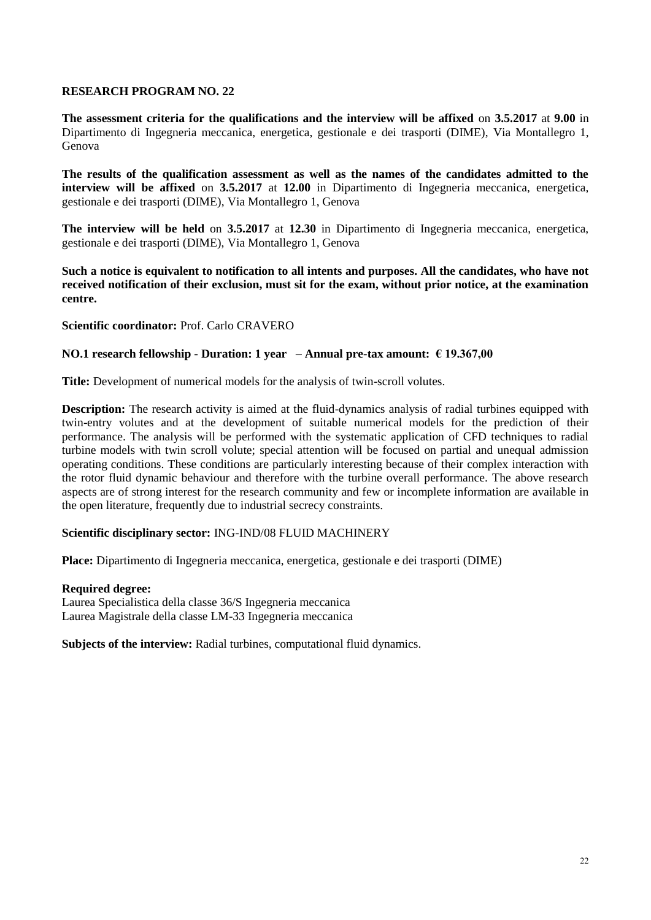**The assessment criteria for the qualifications and the interview will be affixed** on **3.5.2017** at **9.00** in Dipartimento di Ingegneria meccanica, energetica, gestionale e dei trasporti (DIME), Via Montallegro 1, Genova

**The results of the qualification assessment as well as the names of the candidates admitted to the interview will be affixed** on **3.5.2017** at **12.00** in Dipartimento di Ingegneria meccanica, energetica, gestionale e dei trasporti (DIME), Via Montallegro 1, Genova

**The interview will be held** on **3.5.2017** at **12.30** in Dipartimento di Ingegneria meccanica, energetica, gestionale e dei trasporti (DIME), Via Montallegro 1, Genova

**Such a notice is equivalent to notification to all intents and purposes. All the candidates, who have not received notification of their exclusion, must sit for the exam, without prior notice, at the examination centre.**

**Scientific coordinator:** Prof. Carlo CRAVERO

#### **NO.1 research fellowship - Duration: 1 year – Annual pre-tax amount: € 19.367,00**

**Title:** Development of numerical models for the analysis of twin-scroll volutes.

**Description:** The research activity is aimed at the fluid-dynamics analysis of radial turbines equipped with twin-entry volutes and at the development of suitable numerical models for the prediction of their performance. The analysis will be performed with the systematic application of CFD techniques to radial turbine models with twin scroll volute; special attention will be focused on partial and unequal admission operating conditions. These conditions are particularly interesting because of their complex interaction with the rotor fluid dynamic behaviour and therefore with the turbine overall performance. The above research aspects are of strong interest for the research community and few or incomplete information are available in the open literature, frequently due to industrial secrecy constraints.

### **Scientific disciplinary sector:** ING-IND/08 FLUID MACHINERY

**Place:** Dipartimento di Ingegneria meccanica, energetica, gestionale e dei trasporti (DIME)

#### **Required degree:**

Laurea Specialistica della classe 36/S Ingegneria meccanica Laurea Magistrale della classe LM-33 Ingegneria meccanica

**Subjects of the interview:** Radial turbines, computational fluid dynamics.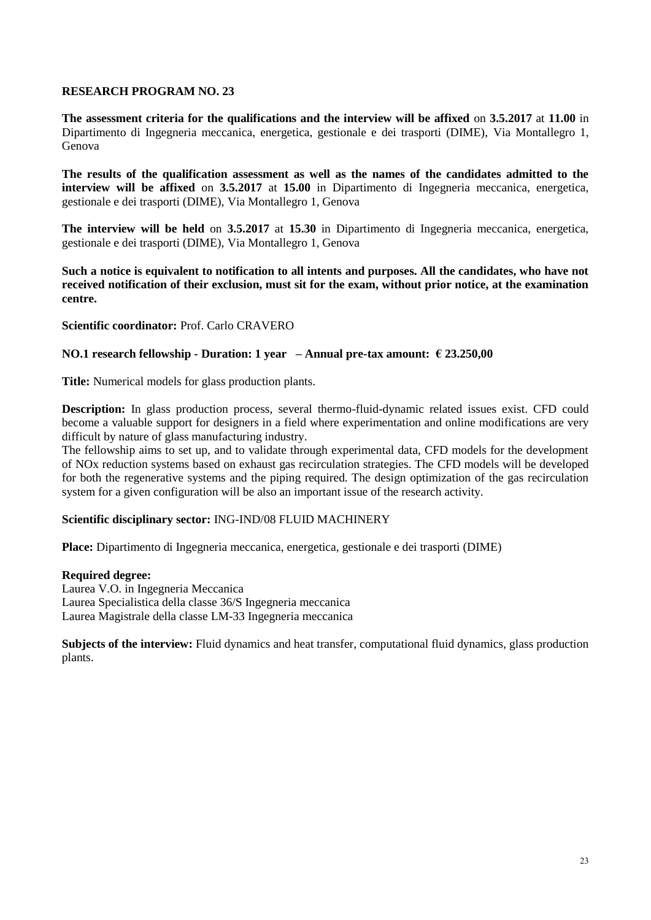**The assessment criteria for the qualifications and the interview will be affixed** on **3.5.2017** at **11.00** in Dipartimento di Ingegneria meccanica, energetica, gestionale e dei trasporti (DIME), Via Montallegro 1, Genova

**The results of the qualification assessment as well as the names of the candidates admitted to the interview will be affixed** on **3.5.2017** at **15.00** in Dipartimento di Ingegneria meccanica, energetica, gestionale e dei trasporti (DIME), Via Montallegro 1, Genova

**The interview will be held** on **3.5.2017** at **15.30** in Dipartimento di Ingegneria meccanica, energetica, gestionale e dei trasporti (DIME), Via Montallegro 1, Genova

**Such a notice is equivalent to notification to all intents and purposes. All the candidates, who have not received notification of their exclusion, must sit for the exam, without prior notice, at the examination centre.**

#### **Scientific coordinator:** Prof. Carlo CRAVERO

## **NO.1 research fellowship - Duration: 1 year – Annual pre-tax amount: € 23.250,00**

**Title:** Numerical models for glass production plants.

**Description:** In glass production process, several thermo-fluid-dynamic related issues exist. CFD could become a valuable support for designers in a field where experimentation and online modifications are very difficult by nature of glass manufacturing industry.

The fellowship aims to set up, and to validate through experimental data, CFD models for the development of NOx reduction systems based on exhaust gas recirculation strategies. The CFD models will be developed for both the regenerative systems and the piping required. The design optimization of the gas recirculation system for a given configuration will be also an important issue of the research activity.

#### **Scientific disciplinary sector:** ING-IND/08 FLUID MACHINERY

**Place:** Dipartimento di Ingegneria meccanica, energetica, gestionale e dei trasporti (DIME)

#### **Required degree:**

Laurea V.O. in Ingegneria Meccanica Laurea Specialistica della classe 36/S Ingegneria meccanica Laurea Magistrale della classe LM-33 Ingegneria meccanica

**Subjects of the interview:** Fluid dynamics and heat transfer, computational fluid dynamics, glass production plants.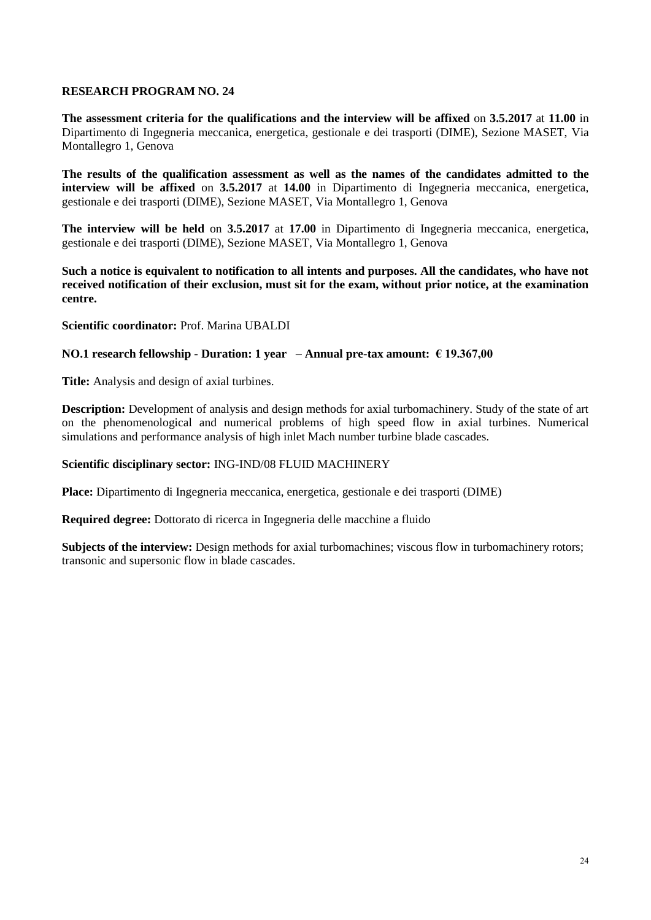**The assessment criteria for the qualifications and the interview will be affixed** on **3.5.2017** at **11.00** in Dipartimento di Ingegneria meccanica, energetica, gestionale e dei trasporti (DIME), Sezione MASET, Via Montallegro 1, Genova

**The results of the qualification assessment as well as the names of the candidates admitted to the interview will be affixed** on **3.5.2017** at **14.00** in Dipartimento di Ingegneria meccanica, energetica, gestionale e dei trasporti (DIME), Sezione MASET, Via Montallegro 1, Genova

**The interview will be held** on **3.5.2017** at **17.00** in Dipartimento di Ingegneria meccanica, energetica, gestionale e dei trasporti (DIME), Sezione MASET, Via Montallegro 1, Genova

**Such a notice is equivalent to notification to all intents and purposes. All the candidates, who have not received notification of their exclusion, must sit for the exam, without prior notice, at the examination centre.**

**Scientific coordinator:** Prof. Marina UBALDI

#### **NO.1 research fellowship - Duration: 1 year – Annual pre-tax amount: € 19.367,00**

**Title:** Analysis and design of axial turbines.

**Description:** Development of analysis and design methods for axial turbomachinery. Study of the state of art on the phenomenological and numerical problems of high speed flow in axial turbines. Numerical simulations and performance analysis of high inlet Mach number turbine blade cascades.

#### **Scientific disciplinary sector:** ING-IND/08 FLUID MACHINERY

**Place:** Dipartimento di Ingegneria meccanica, energetica, gestionale e dei trasporti (DIME)

**Required degree:** Dottorato di ricerca in Ingegneria delle macchine a fluido

**Subjects of the interview:** Design methods for axial turbomachines; viscous flow in turbomachinery rotors; transonic and supersonic flow in blade cascades.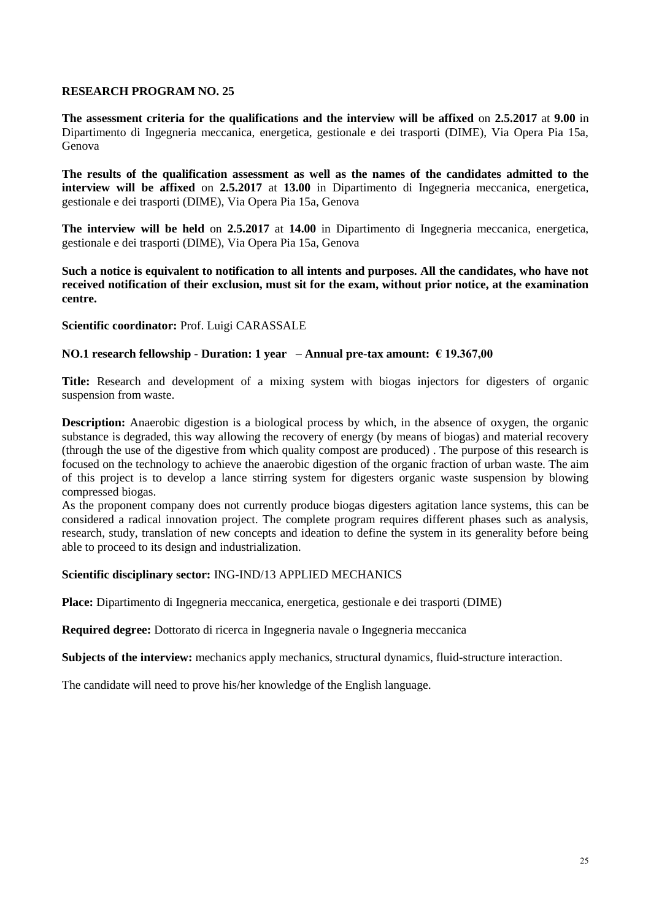**The assessment criteria for the qualifications and the interview will be affixed** on **2.5.2017** at **9.00** in Dipartimento di Ingegneria meccanica, energetica, gestionale e dei trasporti (DIME), Via Opera Pia 15a, Genova

**The results of the qualification assessment as well as the names of the candidates admitted to the interview will be affixed** on **2.5.2017** at **13.00** in Dipartimento di Ingegneria meccanica, energetica, gestionale e dei trasporti (DIME), Via Opera Pia 15a, Genova

**The interview will be held** on **2.5.2017** at **14.00** in Dipartimento di Ingegneria meccanica, energetica, gestionale e dei trasporti (DIME), Via Opera Pia 15a, Genova

**Such a notice is equivalent to notification to all intents and purposes. All the candidates, who have not received notification of their exclusion, must sit for the exam, without prior notice, at the examination centre.**

#### **Scientific coordinator:** Prof. Luigi CARASSALE

## **NO.1 research fellowship - Duration: 1 year – Annual pre-tax amount: € 19.367,00**

**Title:** Research and development of a mixing system with biogas injectors for digesters of organic suspension from waste.

**Description:** Anaerobic digestion is a biological process by which, in the absence of oxygen, the organic substance is degraded, this way allowing the recovery of energy (by means of biogas) and material recovery (through the use of the digestive from which quality compost are produced) . The purpose of this research is focused on the technology to achieve the anaerobic digestion of the organic fraction of urban waste. The aim of this project is to develop a lance stirring system for digesters organic waste suspension by blowing compressed biogas.

As the proponent company does not currently produce biogas digesters agitation lance systems, this can be considered a radical innovation project. The complete program requires different phases such as analysis, research, study, translation of new concepts and ideation to define the system in its generality before being able to proceed to its design and industrialization.

#### **Scientific disciplinary sector:** ING-IND/13 APPLIED MECHANICS

**Place:** Dipartimento di Ingegneria meccanica, energetica, gestionale e dei trasporti (DIME)

**Required degree:** Dottorato di ricerca in Ingegneria navale o Ingegneria meccanica

**Subjects of the interview:** mechanics apply mechanics, structural dynamics, fluid-structure interaction.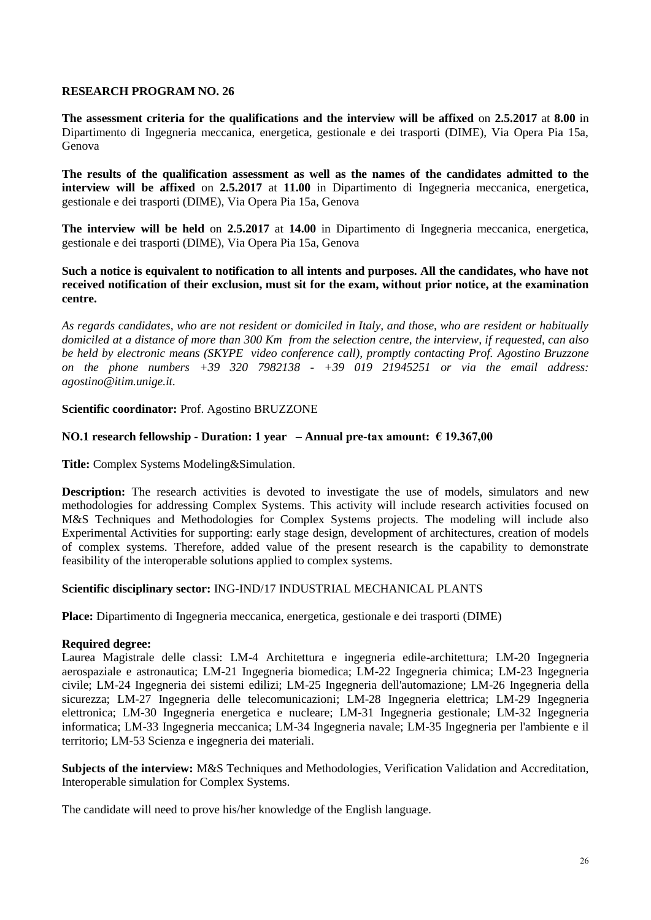**The assessment criteria for the qualifications and the interview will be affixed** on **2.5.2017** at **8.00** in Dipartimento di Ingegneria meccanica, energetica, gestionale e dei trasporti (DIME), Via Opera Pia 15a, Genova

**The results of the qualification assessment as well as the names of the candidates admitted to the interview will be affixed** on **2.5.2017** at **11.00** in Dipartimento di Ingegneria meccanica, energetica, gestionale e dei trasporti (DIME), Via Opera Pia 15a, Genova

**The interview will be held** on **2.5.2017** at **14.00** in Dipartimento di Ingegneria meccanica, energetica, gestionale e dei trasporti (DIME), Via Opera Pia 15a, Genova

#### **Such a notice is equivalent to notification to all intents and purposes. All the candidates, who have not received notification of their exclusion, must sit for the exam, without prior notice, at the examination centre.**

*As regards candidates, who are not resident or domiciled in Italy, and those, who are resident or habitually domiciled at a distance of more than 300 Km from the selection centre, the interview, if requested, can also be held by electronic means (SKYPE video conference call), promptly contacting Prof. Agostino Bruzzone on the phone numbers +39 320 7982138 - +39 019 21945251 or via the email address: agostino@itim.unige.it.*

#### **Scientific coordinator:** Prof. Agostino BRUZZONE

## **NO.1 research fellowship - Duration: 1 year – Annual pre-tax amount: € 19.367,00**

**Title:** Complex Systems Modeling&Simulation.

**Description:** The research activities is devoted to investigate the use of models, simulators and new methodologies for addressing Complex Systems. This activity will include research activities focused on M&S Techniques and Methodologies for Complex Systems projects. The modeling will include also Experimental Activities for supporting: early stage design, development of architectures, creation of models of complex systems. Therefore, added value of the present research is the capability to demonstrate feasibility of the interoperable solutions applied to complex systems.

#### **Scientific disciplinary sector:** ING-IND/17 INDUSTRIAL MECHANICAL PLANTS

**Place:** Dipartimento di Ingegneria meccanica, energetica, gestionale e dei trasporti (DIME)

#### **Required degree:**

Laurea Magistrale delle classi: LM-4 Architettura e ingegneria edile-architettura; LM-20 Ingegneria aerospaziale e astronautica; LM-21 Ingegneria biomedica; LM-22 Ingegneria chimica; LM-23 Ingegneria civile; LM-24 Ingegneria dei sistemi edilizi; LM-25 Ingegneria dell'automazione; LM-26 Ingegneria della sicurezza; LM-27 Ingegneria delle telecomunicazioni; LM-28 Ingegneria elettrica; LM-29 Ingegneria elettronica; LM-30 Ingegneria energetica e nucleare; LM-31 Ingegneria gestionale; LM-32 Ingegneria informatica; LM-33 Ingegneria meccanica; LM-34 Ingegneria navale; LM-35 Ingegneria per l'ambiente e il territorio; LM-53 Scienza e ingegneria dei materiali.

**Subjects of the interview:** M&S Techniques and Methodologies, Verification Validation and Accreditation, Interoperable simulation for Complex Systems.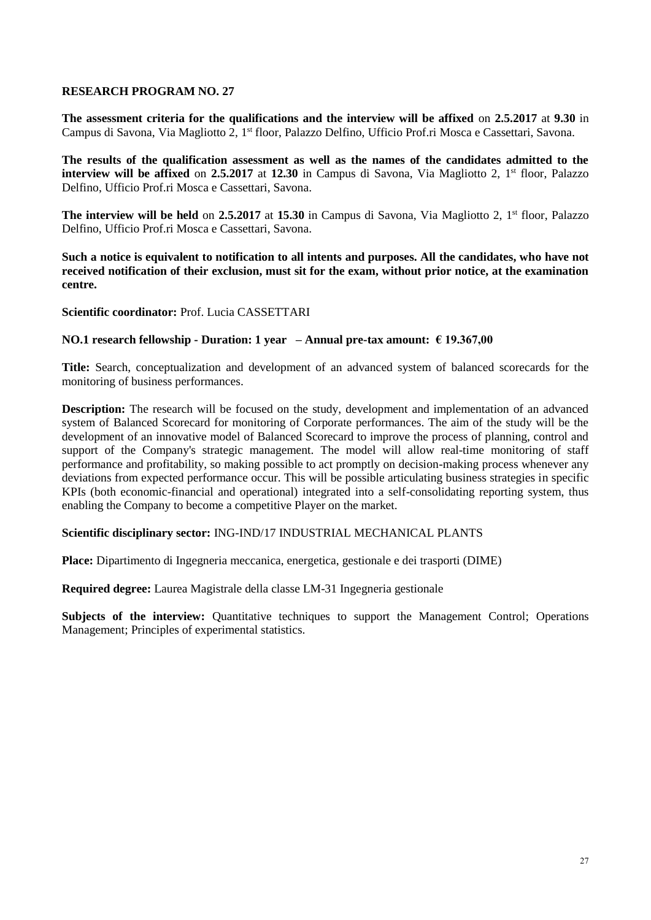**The assessment criteria for the qualifications and the interview will be affixed** on **2.5.2017** at **9.30** in Campus di Savona, Via Magliotto 2, 1<sup>st</sup> floor, Palazzo Delfino, Ufficio Prof.ri Mosca e Cassettari, Savona.

**The results of the qualification assessment as well as the names of the candidates admitted to the interview will be affixed** on 2.5.2017 at 12.30 in Campus di Savona, Via Magliotto 2, 1<sup>st</sup> floor, Palazzo Delfino, Ufficio Prof.ri Mosca e Cassettari, Savona.

**The interview will be held** on 2.5.2017 at 15.30 in Campus di Savona, Via Magliotto 2, 1<sup>st</sup> floor, Palazzo Delfino, Ufficio Prof.ri Mosca e Cassettari, Savona.

**Such a notice is equivalent to notification to all intents and purposes. All the candidates, who have not received notification of their exclusion, must sit for the exam, without prior notice, at the examination centre.**

#### **Scientific coordinator:** Prof. Lucia CASSETTARI

#### **NO.1 research fellowship - Duration: 1 year – Annual pre-tax amount: € 19.367,00**

**Title:** Search, conceptualization and development of an advanced system of balanced scorecards for the monitoring of business performances.

**Description:** The research will be focused on the study, development and implementation of an advanced system of Balanced Scorecard for monitoring of Corporate performances. The aim of the study will be the development of an innovative model of Balanced Scorecard to improve the process of planning, control and support of the Company's strategic management. The model will allow real-time monitoring of staff performance and profitability, so making possible to act promptly on decision-making process whenever any deviations from expected performance occur. This will be possible articulating business strategies in specific KPIs (both economic-financial and operational) integrated into a self-consolidating reporting system, thus enabling the Company to become a competitive Player on the market.

### **Scientific disciplinary sector:** ING-IND/17 INDUSTRIAL MECHANICAL PLANTS

**Place:** Dipartimento di Ingegneria meccanica, energetica, gestionale e dei trasporti (DIME)

**Required degree:** Laurea Magistrale della classe LM-31 Ingegneria gestionale

**Subjects of the interview:** Quantitative techniques to support the Management Control; Operations Management; Principles of experimental statistics.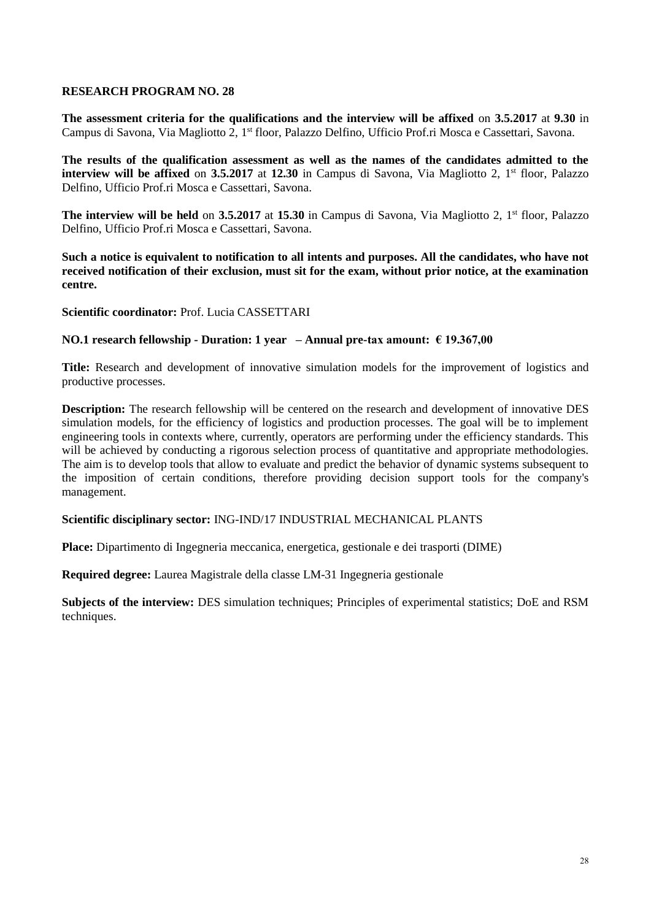**The assessment criteria for the qualifications and the interview will be affixed** on **3.5.2017** at **9.30** in Campus di Savona, Via Magliotto 2, 1<sup>st</sup> floor, Palazzo Delfino, Ufficio Prof.ri Mosca e Cassettari, Savona.

**The results of the qualification assessment as well as the names of the candidates admitted to the interview will be affixed** on 3.5.2017 at 12.30 in Campus di Savona, Via Magliotto 2, 1<sup>st</sup> floor, Palazzo Delfino, Ufficio Prof.ri Mosca e Cassettari, Savona.

**The interview will be held** on 3.5.2017 at 15.30 in Campus di Savona, Via Magliotto 2, 1<sup>st</sup> floor, Palazzo Delfino, Ufficio Prof.ri Mosca e Cassettari, Savona.

**Such a notice is equivalent to notification to all intents and purposes. All the candidates, who have not received notification of their exclusion, must sit for the exam, without prior notice, at the examination centre.**

**Scientific coordinator:** Prof. Lucia CASSETTARI

#### **NO.1 research fellowship - Duration: 1 year – Annual pre-tax amount: € 19.367,00**

**Title:** Research and development of innovative simulation models for the improvement of logistics and productive processes.

**Description:** The research fellowship will be centered on the research and development of innovative DES simulation models, for the efficiency of logistics and production processes. The goal will be to implement engineering tools in contexts where, currently, operators are performing under the efficiency standards. This will be achieved by conducting a rigorous selection process of quantitative and appropriate methodologies. The aim is to develop tools that allow to evaluate and predict the behavior of dynamic systems subsequent to the imposition of certain conditions, therefore providing decision support tools for the company's management.

#### **Scientific disciplinary sector:** ING-IND/17 INDUSTRIAL MECHANICAL PLANTS

**Place:** Dipartimento di Ingegneria meccanica, energetica, gestionale e dei trasporti (DIME)

**Required degree:** Laurea Magistrale della classe LM-31 Ingegneria gestionale

**Subjects of the interview:** DES simulation techniques; Principles of experimental statistics; DoE and RSM techniques.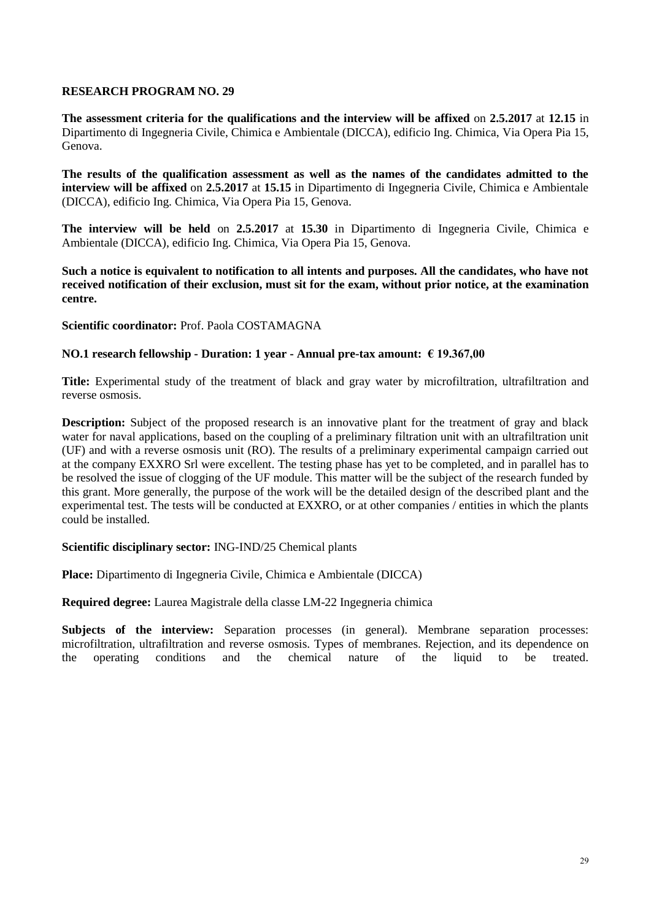**The assessment criteria for the qualifications and the interview will be affixed** on **2.5.2017** at **12.15** in Dipartimento di Ingegneria Civile, Chimica e Ambientale (DICCA), edificio Ing. Chimica, Via Opera Pia 15, Genova.

**The results of the qualification assessment as well as the names of the candidates admitted to the interview will be affixed** on **2.5.2017** at **15.15** in Dipartimento di Ingegneria Civile, Chimica e Ambientale (DICCA), edificio Ing. Chimica, Via Opera Pia 15, Genova.

**The interview will be held** on **2.5.2017** at **15.30** in Dipartimento di Ingegneria Civile, Chimica e Ambientale (DICCA), edificio Ing. Chimica, Via Opera Pia 15, Genova.

**Such a notice is equivalent to notification to all intents and purposes. All the candidates, who have not received notification of their exclusion, must sit for the exam, without prior notice, at the examination centre.**

**Scientific coordinator:** Prof. Paola COSTAMAGNA

#### **NO.1 research fellowship - Duration: 1 year - Annual pre-tax amount: € 19.367,00**

**Title:** Experimental study of the treatment of black and gray water by microfiltration, ultrafiltration and reverse osmosis.

**Description:** Subject of the proposed research is an innovative plant for the treatment of gray and black water for naval applications, based on the coupling of a preliminary filtration unit with an ultrafiltration unit (UF) and with a reverse osmosis unit (RO). The results of a preliminary experimental campaign carried out at the company EXXRO Srl were excellent. The testing phase has yet to be completed, and in parallel has to be resolved the issue of clogging of the UF module. This matter will be the subject of the research funded by this grant. More generally, the purpose of the work will be the detailed design of the described plant and the experimental test. The tests will be conducted at EXXRO, or at other companies / entities in which the plants could be installed.

#### **Scientific disciplinary sector:** ING-IND/25 Chemical plants

**Place:** Dipartimento di Ingegneria Civile, Chimica e Ambientale (DICCA)

**Required degree:** Laurea Magistrale della classe LM-22 Ingegneria chimica

**Subjects of the interview:** Separation processes (in general). Membrane separation processes: microfiltration, ultrafiltration and reverse osmosis. Types of membranes. Rejection, and its dependence on the operating conditions and the chemical nature of the liquid to be treated.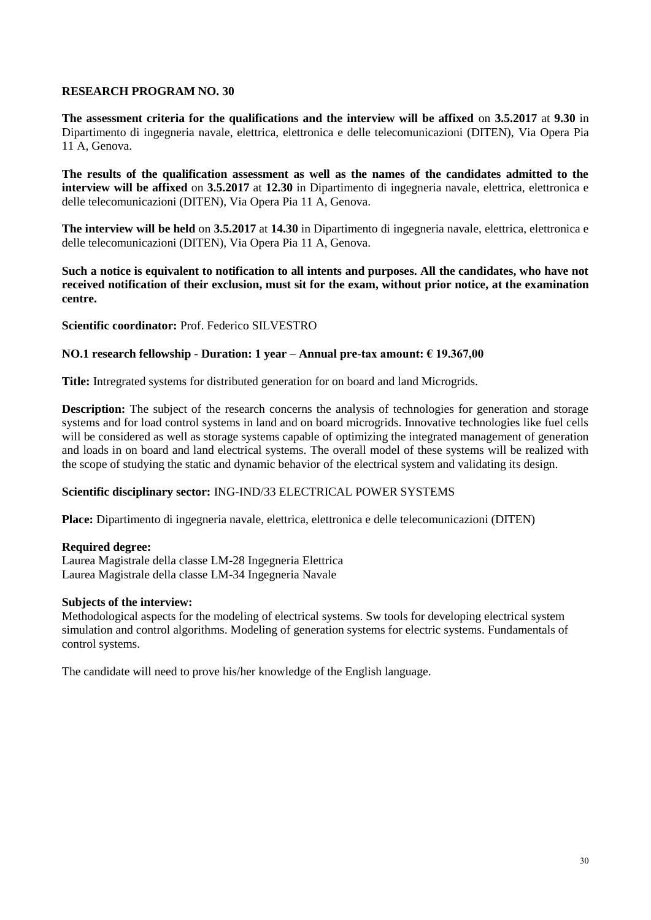**The assessment criteria for the qualifications and the interview will be affixed** on **3.5.2017** at **9.30** in Dipartimento di ingegneria navale, elettrica, elettronica e delle telecomunicazioni (DITEN), Via Opera Pia 11 A, Genova.

**The results of the qualification assessment as well as the names of the candidates admitted to the interview will be affixed** on **3.5.2017** at **12.30** in Dipartimento di ingegneria navale, elettrica, elettronica e delle telecomunicazioni (DITEN), Via Opera Pia 11 A, Genova.

**The interview will be held** on **3.5.2017** at **14.30** in Dipartimento di ingegneria navale, elettrica, elettronica e delle telecomunicazioni (DITEN), Via Opera Pia 11 A, Genova.

**Such a notice is equivalent to notification to all intents and purposes. All the candidates, who have not received notification of their exclusion, must sit for the exam, without prior notice, at the examination centre.**

**Scientific coordinator:** Prof. Federico SILVESTRO

## **NO.1 research fellowship - Duration: 1 year – Annual pre-tax amount: € 19.367,00**

**Title:** Intregrated systems for distributed generation for on board and land Microgrids.

**Description:** The subject of the research concerns the analysis of technologies for generation and storage systems and for load control systems in land and on board microgrids. Innovative technologies like fuel cells will be considered as well as storage systems capable of optimizing the integrated management of generation and loads in on board and land electrical systems. The overall model of these systems will be realized with the scope of studying the static and dynamic behavior of the electrical system and validating its design.

#### **Scientific disciplinary sector:** ING-IND/33 ELECTRICAL POWER SYSTEMS

**Place:** Dipartimento di ingegneria navale, elettrica, elettronica e delle telecomunicazioni (DITEN)

#### **Required degree:**

Laurea Magistrale della classe LM-28 Ingegneria Elettrica Laurea Magistrale della classe LM-34 Ingegneria Navale

#### **Subjects of the interview:**

Methodological aspects for the modeling of electrical systems. Sw tools for developing electrical system simulation and control algorithms. Modeling of generation systems for electric systems. Fundamentals of control systems.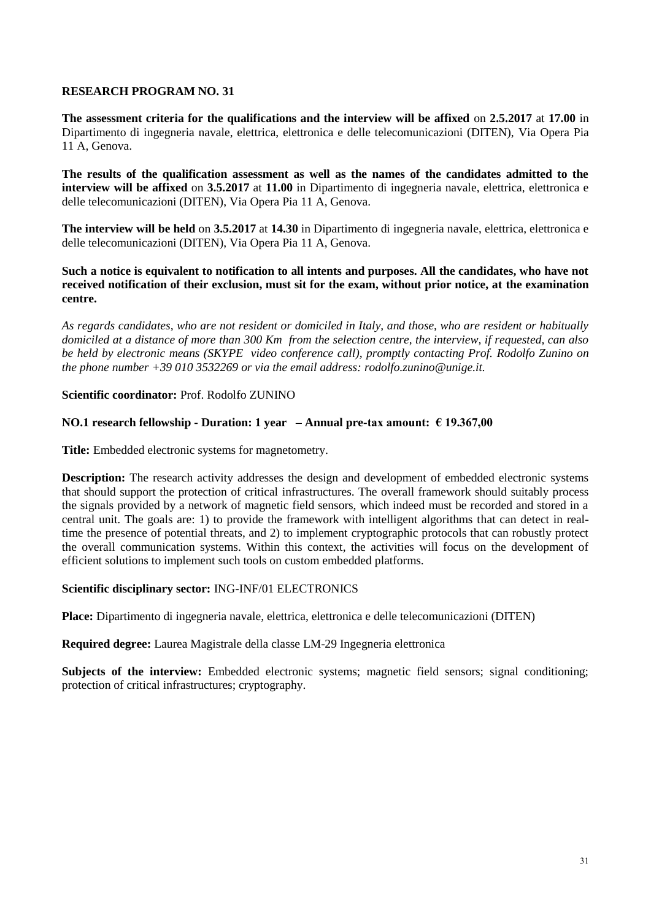**The assessment criteria for the qualifications and the interview will be affixed** on **2.5.2017** at **17.00** in Dipartimento di ingegneria navale, elettrica, elettronica e delle telecomunicazioni (DITEN), Via Opera Pia 11 A, Genova.

**The results of the qualification assessment as well as the names of the candidates admitted to the interview will be affixed** on **3.5.2017** at **11.00** in Dipartimento di ingegneria navale, elettrica, elettronica e delle telecomunicazioni (DITEN), Via Opera Pia 11 A, Genova.

**The interview will be held** on **3.5.2017** at **14.30** in Dipartimento di ingegneria navale, elettrica, elettronica e delle telecomunicazioni (DITEN), Via Opera Pia 11 A, Genova.

#### **Such a notice is equivalent to notification to all intents and purposes. All the candidates, who have not received notification of their exclusion, must sit for the exam, without prior notice, at the examination centre.**

*As regards candidates, who are not resident or domiciled in Italy, and those, who are resident or habitually domiciled at a distance of more than 300 Km from the selection centre, the interview, if requested, can also be held by electronic means (SKYPE video conference call), promptly contacting Prof. Rodolfo Zunino on the phone number +39 010 3532269 or via the email address: rodolfo.zunino@unige.it.*

## **Scientific coordinator:** Prof. Rodolfo ZUNINO

## **NO.1 research fellowship - Duration: 1 year – Annual pre-tax amount: € 19.367,00**

**Title:** Embedded electronic systems for magnetometry.

**Description:** The research activity addresses the design and development of embedded electronic systems that should support the protection of critical infrastructures. The overall framework should suitably process the signals provided by a network of magnetic field sensors, which indeed must be recorded and stored in a central unit. The goals are: 1) to provide the framework with intelligent algorithms that can detect in realtime the presence of potential threats, and 2) to implement cryptographic protocols that can robustly protect the overall communication systems. Within this context, the activities will focus on the development of efficient solutions to implement such tools on custom embedded platforms.

#### **Scientific disciplinary sector:** ING-INF/01 ELECTRONICS

**Place:** Dipartimento di ingegneria navale, elettrica, elettronica e delle telecomunicazioni (DITEN)

**Required degree:** Laurea Magistrale della classe LM-29 Ingegneria elettronica

**Subjects of the interview:** Embedded electronic systems; magnetic field sensors; signal conditioning; protection of critical infrastructures; cryptography.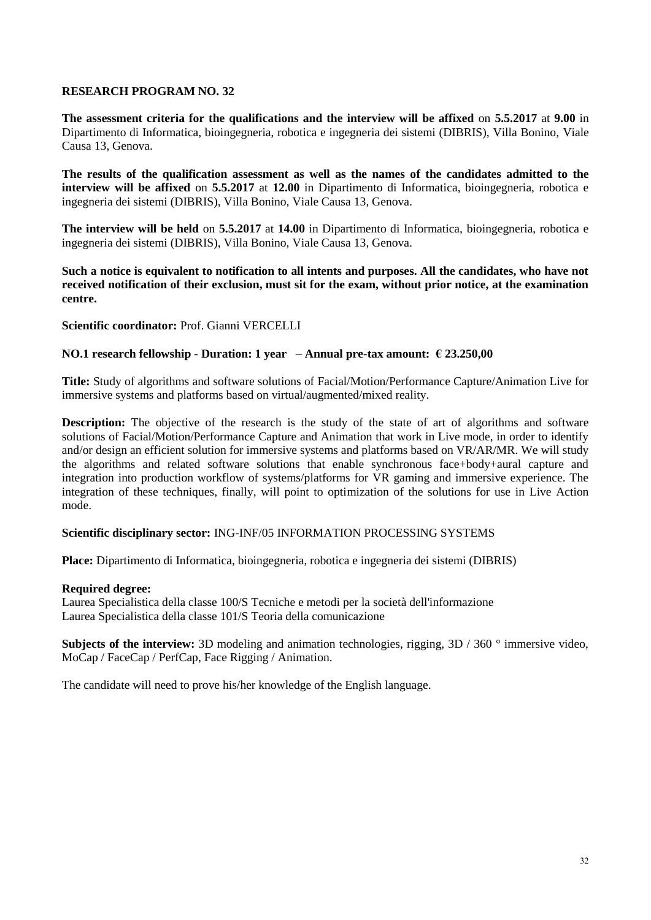**The assessment criteria for the qualifications and the interview will be affixed** on **5.5.2017** at **9.00** in Dipartimento di Informatica, bioingegneria, robotica e ingegneria dei sistemi (DIBRIS), Villa Bonino, Viale Causa 13, Genova.

**The results of the qualification assessment as well as the names of the candidates admitted to the interview will be affixed** on **5.5.2017** at **12.00** in Dipartimento di Informatica, bioingegneria, robotica e ingegneria dei sistemi (DIBRIS), Villa Bonino, Viale Causa 13, Genova.

**The interview will be held** on **5.5.2017** at **14.00** in Dipartimento di Informatica, bioingegneria, robotica e ingegneria dei sistemi (DIBRIS), Villa Bonino, Viale Causa 13, Genova.

**Such a notice is equivalent to notification to all intents and purposes. All the candidates, who have not received notification of their exclusion, must sit for the exam, without prior notice, at the examination centre.**

**Scientific coordinator:** Prof. Gianni VERCELLI

#### **NO.1 research fellowship - Duration: 1 year – Annual pre-tax amount: € 23.250,00**

**Title:** Study of algorithms and software solutions of Facial/Motion/Performance Capture/Animation Live for immersive systems and platforms based on virtual/augmented/mixed reality.

**Description:** The objective of the research is the study of the state of art of algorithms and software solutions of Facial/Motion/Performance Capture and Animation that work in Live mode, in order to identify and/or design an efficient solution for immersive systems and platforms based on VR/AR/MR. We will study the algorithms and related software solutions that enable synchronous face+body+aural capture and integration into production workflow of systems/platforms for VR gaming and immersive experience. The integration of these techniques, finally, will point to optimization of the solutions for use in Live Action mode.

#### **Scientific disciplinary sector:** ING-INF/05 INFORMATION PROCESSING SYSTEMS

**Place:** Dipartimento di Informatica, bioingegneria, robotica e ingegneria dei sistemi (DIBRIS)

#### **Required degree:**

Laurea Specialistica della classe 100/S Tecniche e metodi per la società dell'informazione Laurea Specialistica della classe 101/S Teoria della comunicazione

**Subjects of the interview:** 3D modeling and animation technologies, rigging, 3D / 360 ° immersive video, MoCap / FaceCap / PerfCap, Face Rigging / Animation.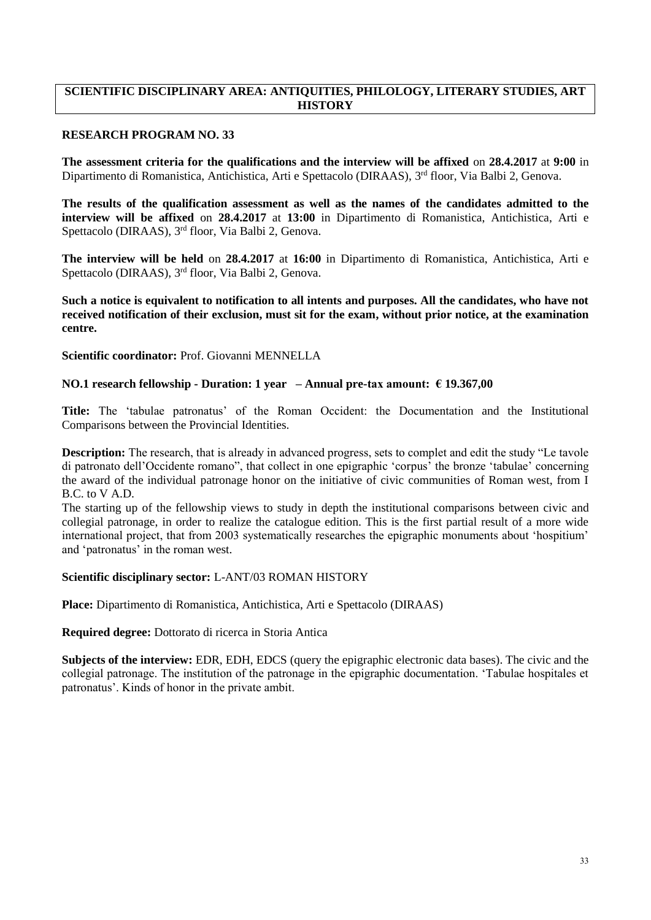### **SCIENTIFIC DISCIPLINARY AREA: ANTIQUITIES, PHILOLOGY, LITERARY STUDIES, ART HISTORY**

### **RESEARCH PROGRAM NO. 33**

**The assessment criteria for the qualifications and the interview will be affixed** on **28.4.2017** at **9:00** in Dipartimento di Romanistica, Antichistica, Arti e Spettacolo (DIRAAS), 3<sup>rd</sup> floor, Via Balbi 2, Genova.

**The results of the qualification assessment as well as the names of the candidates admitted to the interview will be affixed** on **28.4.2017** at **13:00** in Dipartimento di Romanistica, Antichistica, Arti e Spettacolo (DIRAAS), 3<sup>rd</sup> floor, Via Balbi 2, Genova.

**The interview will be held** on **28.4.2017** at **16:00** in Dipartimento di Romanistica, Antichistica, Arti e Spettacolo (DIRAAS), 3<sup>rd</sup> floor, Via Balbi 2, Genova.

**Such a notice is equivalent to notification to all intents and purposes. All the candidates, who have not received notification of their exclusion, must sit for the exam, without prior notice, at the examination centre.**

**Scientific coordinator:** Prof. Giovanni MENNELLA

#### **NO.1 research fellowship - Duration: 1 year – Annual pre-tax amount: € 19.367,00**

**Title:** The 'tabulae patronatus' of the Roman Occident: the Documentation and the Institutional Comparisons between the Provincial Identities.

**Description:** The research, that is already in advanced progress, sets to complet and edit the study "Le tavole di patronato dell'Occidente romano", that collect in one epigraphic 'corpus' the bronze 'tabulae' concerning the award of the individual patronage honor on the initiative of civic communities of Roman west, from I B.C. to V A.D.

The starting up of the fellowship views to study in depth the institutional comparisons between civic and collegial patronage, in order to realize the catalogue edition. This is the first partial result of a more wide international project, that from 2003 systematically researches the epigraphic monuments about 'hospitium' and 'patronatus' in the roman west.

#### **Scientific disciplinary sector:** L-ANT/03 ROMAN HISTORY

**Place:** Dipartimento di Romanistica, Antichistica, Arti e Spettacolo (DIRAAS)

**Required degree:** Dottorato di ricerca in Storia Antica

**Subjects of the interview:** EDR, EDH, EDCS (query the epigraphic electronic data bases). The civic and the collegial patronage. The institution of the patronage in the epigraphic documentation. 'Tabulae hospitales et patronatus'. Kinds of honor in the private ambit.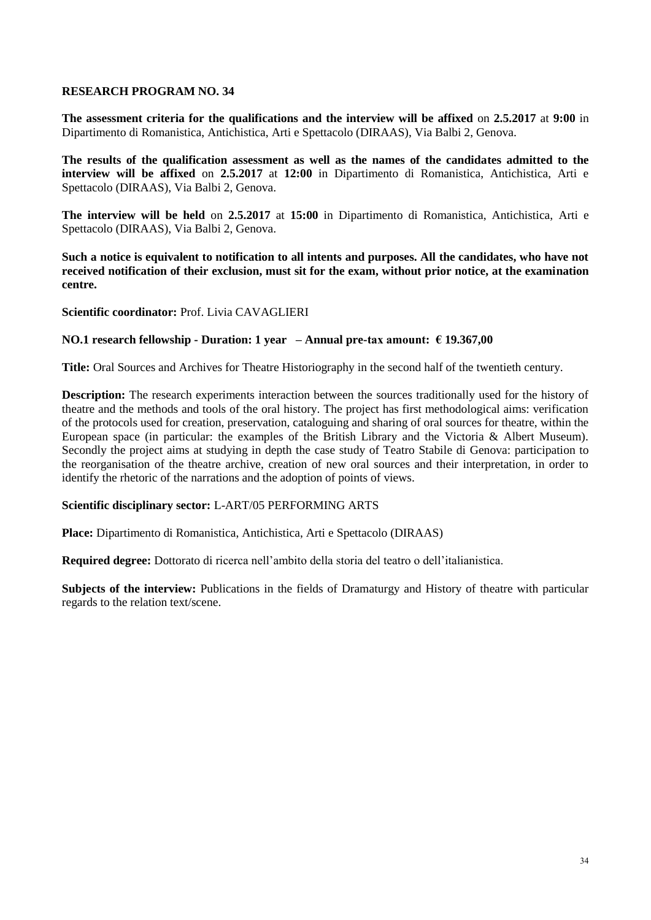**The assessment criteria for the qualifications and the interview will be affixed** on **2.5.2017** at **9:00** in Dipartimento di Romanistica, Antichistica, Arti e Spettacolo (DIRAAS), Via Balbi 2, Genova.

**The results of the qualification assessment as well as the names of the candidates admitted to the interview will be affixed** on **2.5.2017** at **12:00** in Dipartimento di Romanistica, Antichistica, Arti e Spettacolo (DIRAAS), Via Balbi 2, Genova.

**The interview will be held** on **2.5.2017** at **15:00** in Dipartimento di Romanistica, Antichistica, Arti e Spettacolo (DIRAAS), Via Balbi 2, Genova.

**Such a notice is equivalent to notification to all intents and purposes. All the candidates, who have not received notification of their exclusion, must sit for the exam, without prior notice, at the examination centre.**

#### **Scientific coordinator:** Prof. Livia CAVAGLIERI

#### **NO.1 research fellowship - Duration: 1 year – Annual pre-tax amount: € 19.367,00**

**Title:** Oral Sources and Archives for Theatre Historiography in the second half of the twentieth century.

**Description:** The research experiments interaction between the sources traditionally used for the history of theatre and the methods and tools of the oral history. The project has first methodological aims: verification of the protocols used for creation, preservation, cataloguing and sharing of oral sources for theatre, within the European space (in particular: the examples of the British Library and the Victoria & Albert Museum). Secondly the project aims at studying in depth the case study of Teatro Stabile di Genova: participation to the reorganisation of the theatre archive, creation of new oral sources and their interpretation, in order to identify the rhetoric of the narrations and the adoption of points of views.

#### **Scientific disciplinary sector:** L-ART/05 PERFORMING ARTS

**Place:** Dipartimento di Romanistica, Antichistica, Arti e Spettacolo (DIRAAS)

**Required degree:** Dottorato di ricerca nell'ambito della storia del teatro o dell'italianistica.

**Subjects of the interview:** Publications in the fields of Dramaturgy and History of theatre with particular regards to the relation text/scene.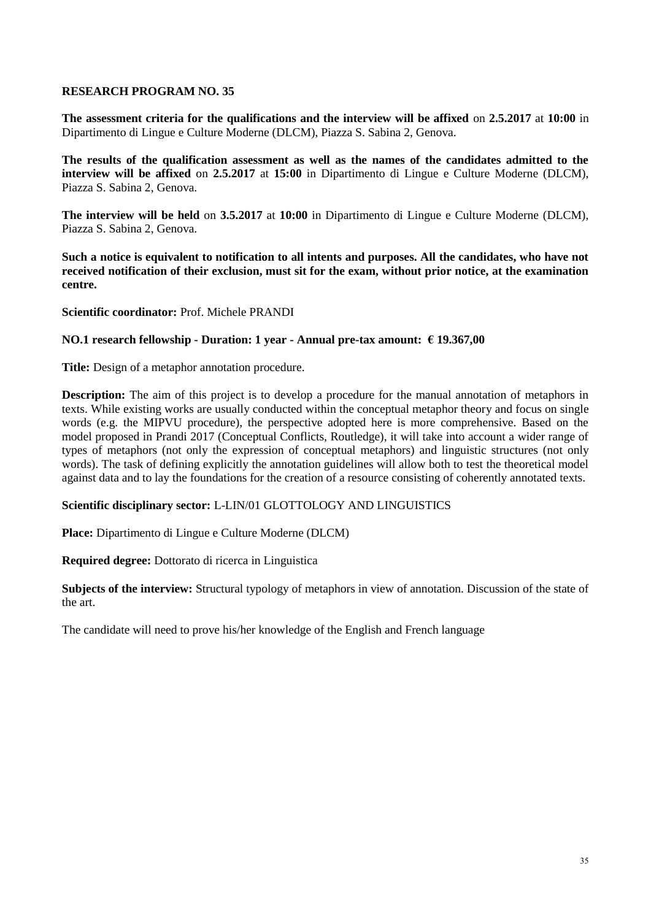**The assessment criteria for the qualifications and the interview will be affixed** on **2.5.2017** at **10:00** in Dipartimento di Lingue e Culture Moderne (DLCM), Piazza S. Sabina 2, Genova.

**The results of the qualification assessment as well as the names of the candidates admitted to the interview will be affixed** on **2.5.2017** at **15:00** in Dipartimento di Lingue e Culture Moderne (DLCM), Piazza S. Sabina 2, Genova.

**The interview will be held** on **3.5.2017** at **10:00** in Dipartimento di Lingue e Culture Moderne (DLCM), Piazza S. Sabina 2, Genova.

**Such a notice is equivalent to notification to all intents and purposes. All the candidates, who have not received notification of their exclusion, must sit for the exam, without prior notice, at the examination centre.**

**Scientific coordinator:** Prof. Michele PRANDI

#### **NO.1 research fellowship - Duration: 1 year - Annual pre-tax amount: € 19.367,00**

**Title:** Design of a metaphor annotation procedure.

**Description:** The aim of this project is to develop a procedure for the manual annotation of metaphors in texts. While existing works are usually conducted within the conceptual metaphor theory and focus on single words (e.g. the MIPVU procedure), the perspective adopted here is more comprehensive. Based on the model proposed in Prandi 2017 (Conceptual Conflicts, Routledge), it will take into account a wider range of types of metaphors (not only the expression of conceptual metaphors) and linguistic structures (not only words). The task of defining explicitly the annotation guidelines will allow both to test the theoretical model against data and to lay the foundations for the creation of a resource consisting of coherently annotated texts.

#### **Scientific disciplinary sector:** L-LIN/01 GLOTTOLOGY AND LINGUISTICS

**Place:** Dipartimento di Lingue e Culture Moderne (DLCM)

**Required degree:** Dottorato di ricerca in Linguistica

**Subjects of the interview:** Structural typology of metaphors in view of annotation. Discussion of the state of the art.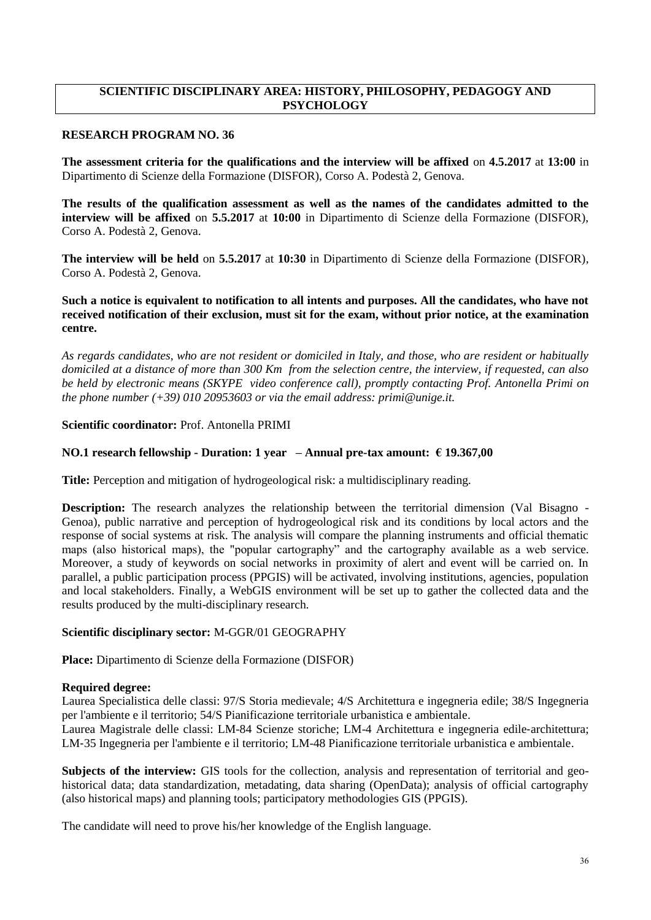## **SCIENTIFIC DISCIPLINARY AREA: HISTORY, PHILOSOPHY, PEDAGOGY AND PSYCHOLOGY**

#### **RESEARCH PROGRAM NO. 36**

**The assessment criteria for the qualifications and the interview will be affixed** on **4.5.2017** at **13:00** in Dipartimento di Scienze della Formazione (DISFOR), Corso A. Podestà 2, Genova.

**The results of the qualification assessment as well as the names of the candidates admitted to the interview will be affixed** on **5.5.2017** at **10:00** in Dipartimento di Scienze della Formazione (DISFOR), Corso A. Podestà 2, Genova.

**The interview will be held** on **5.5.2017** at **10:30** in Dipartimento di Scienze della Formazione (DISFOR), Corso A. Podestà 2, Genova.

**Such a notice is equivalent to notification to all intents and purposes. All the candidates, who have not received notification of their exclusion, must sit for the exam, without prior notice, at the examination centre.**

*As regards candidates, who are not resident or domiciled in Italy, and those, who are resident or habitually domiciled at a distance of more than 300 Km from the selection centre, the interview, if requested, can also be held by electronic means (SKYPE video conference call), promptly contacting Prof. Antonella Primi on the phone number (+39) 010 20953603 or via the email address: primi@unige.it.*

## **Scientific coordinator:** Prof. Antonella PRIMI

## **NO.1 research fellowship - Duration: 1 year – Annual pre-tax amount: € 19.367,00**

**Title:** Perception and mitigation of hydrogeological risk: a multidisciplinary reading.

**Description:** The research analyzes the relationship between the territorial dimension (Val Bisagno -Genoa), public narrative and perception of hydrogeological risk and its conditions by local actors and the response of social systems at risk. The analysis will compare the planning instruments and official thematic maps (also historical maps), the "popular cartography" and the cartography available as a web service. Moreover, a study of keywords on social networks in proximity of alert and event will be carried on. In parallel, a public participation process (PPGIS) will be activated, involving institutions, agencies, population and local stakeholders. Finally, a WebGIS environment will be set up to gather the collected data and the results produced by the multi-disciplinary research.

## **Scientific disciplinary sector:** M-GGR/01 GEOGRAPHY

**Place:** Dipartimento di Scienze della Formazione (DISFOR)

#### **Required degree:**

Laurea Specialistica delle classi: 97/S Storia medievale; 4/S Architettura e ingegneria edile; 38/S Ingegneria per l'ambiente e il territorio; 54/S Pianificazione territoriale urbanistica e ambientale.

Laurea Magistrale delle classi: LM-84 Scienze storiche; LM-4 Architettura e ingegneria edile‐architettura; LM‐35 Ingegneria per l'ambiente e il territorio; LM-48 Pianificazione territoriale urbanistica e ambientale.

**Subjects of the interview:** GIS tools for the collection, analysis and representation of territorial and geohistorical data; data standardization, metadating, data sharing (OpenData); analysis of official cartography (also historical maps) and planning tools; participatory methodologies GIS (PPGIS).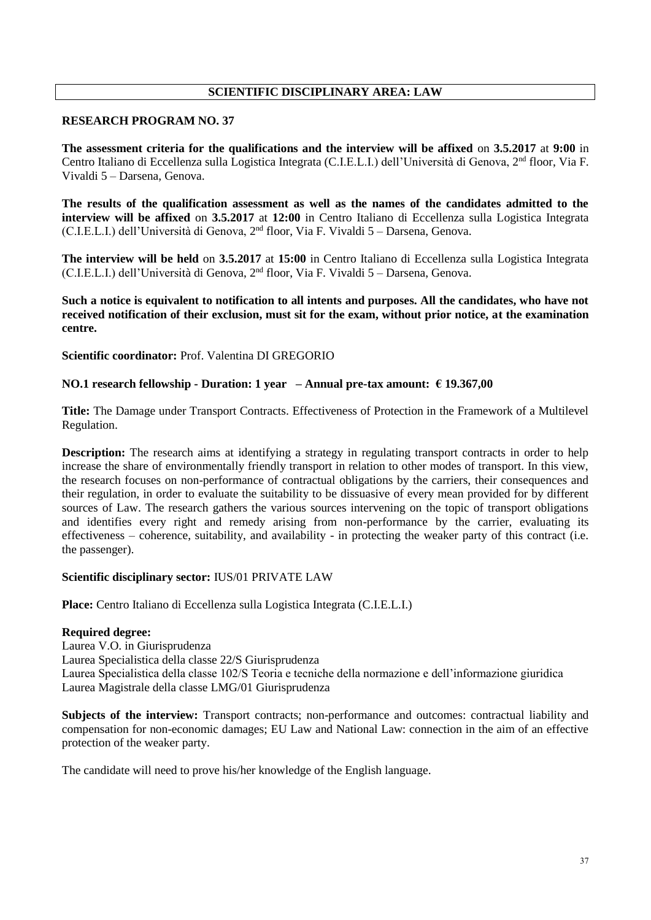## **SCIENTIFIC DISCIPLINARY AREA: LAW**

#### **RESEARCH PROGRAM NO. 37**

**The assessment criteria for the qualifications and the interview will be affixed** on **3.5.2017** at **9:00** in Centro Italiano di Eccellenza sulla Logistica Integrata (C.I.E.L.I.) dell'Università di Genova, 2<sup>nd</sup> floor, Via F. Vivaldi 5 – Darsena, Genova.

**The results of the qualification assessment as well as the names of the candidates admitted to the interview will be affixed** on **3.5.2017** at **12:00** in Centro Italiano di Eccellenza sulla Logistica Integrata (C.I.E.L.I.) dell'Università di Genova, 2 nd floor, Via F. Vivaldi 5 – Darsena, Genova.

**The interview will be held** on **3.5.2017** at **15:00** in Centro Italiano di Eccellenza sulla Logistica Integrata (C.I.E.L.I.) dell'Università di Genova, 2<sup>nd</sup> floor, Via F. Vivaldi 5 - Darsena, Genova.

**Such a notice is equivalent to notification to all intents and purposes. All the candidates, who have not received notification of their exclusion, must sit for the exam, without prior notice, at the examination centre.**

**Scientific coordinator:** Prof. Valentina DI GREGORIO

#### **NO.1 research fellowship - Duration: 1 year – Annual pre-tax amount: € 19.367,00**

**Title:** The Damage under Transport Contracts. Effectiveness of Protection in the Framework of a Multilevel Regulation.

**Description:** The research aims at identifying a strategy in regulating transport contracts in order to help increase the share of environmentally friendly transport in relation to other modes of transport. In this view, the research focuses on non-performance of contractual obligations by the carriers, their consequences and their regulation, in order to evaluate the suitability to be dissuasive of every mean provided for by different sources of Law. The research gathers the various sources intervening on the topic of transport obligations and identifies every right and remedy arising from non-performance by the carrier, evaluating its effectiveness – coherence, suitability, and availability - in protecting the weaker party of this contract (i.e. the passenger).

#### **Scientific disciplinary sector:** IUS/01 PRIVATE LAW

**Place:** Centro Italiano di Eccellenza sulla Logistica Integrata (C.I.E.L.I.)

#### **Required degree:**

Laurea V.O. in Giurisprudenza Laurea Specialistica della classe 22/S Giurisprudenza Laurea Specialistica della classe 102/S Teoria e tecniche della normazione e dell'informazione giuridica Laurea Magistrale della classe LMG/01 Giurisprudenza

**Subjects of the interview:** Transport contracts; non-performance and outcomes: contractual liability and compensation for non-economic damages; EU Law and National Law: connection in the aim of an effective protection of the weaker party.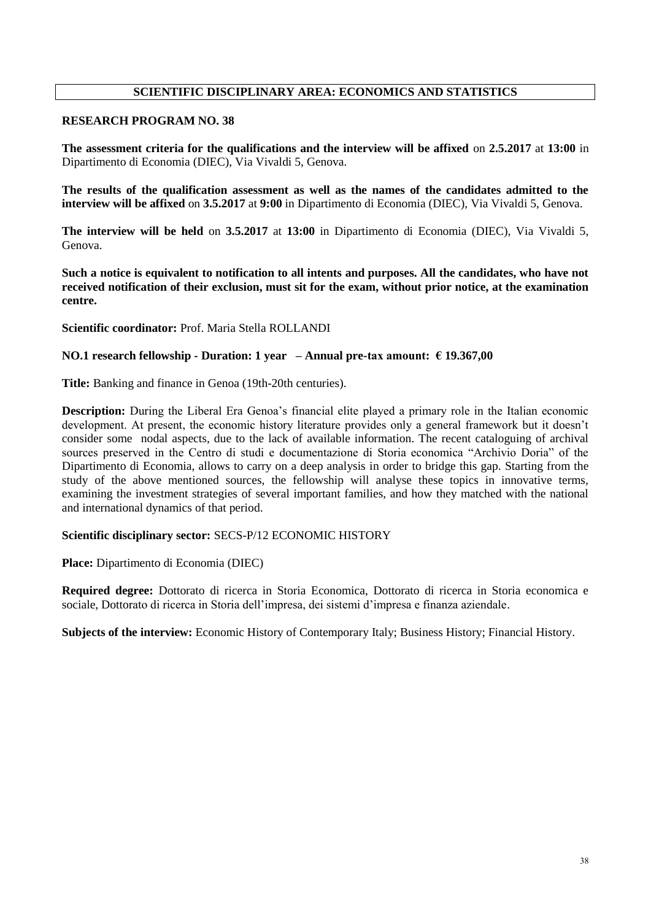### **SCIENTIFIC DISCIPLINARY AREA: ECONOMICS AND STATISTICS**

#### **RESEARCH PROGRAM NO. 38**

**The assessment criteria for the qualifications and the interview will be affixed** on **2.5.2017** at **13:00** in Dipartimento di Economia (DIEC), Via Vivaldi 5, Genova.

**The results of the qualification assessment as well as the names of the candidates admitted to the interview will be affixed** on **3.5.2017** at **9:00** in Dipartimento di Economia (DIEC), Via Vivaldi 5, Genova.

**The interview will be held** on **3.5.2017** at **13:00** in Dipartimento di Economia (DIEC), Via Vivaldi 5, Genova.

**Such a notice is equivalent to notification to all intents and purposes. All the candidates, who have not received notification of their exclusion, must sit for the exam, without prior notice, at the examination centre.**

**Scientific coordinator:** Prof. Maria Stella ROLLANDI

#### **NO.1 research fellowship - Duration: 1 year – Annual pre-tax amount: € 19.367,00**

**Title:** Banking and finance in Genoa (19th-20th centuries).

**Description:** During the Liberal Era Genoa's financial elite played a primary role in the Italian economic development. At present, the economic history literature provides only a general framework but it doesn't consider some nodal aspects, due to the lack of available information. The recent cataloguing of archival sources preserved in the Centro di studi e documentazione di Storia economica "Archivio Doria" of the Dipartimento di Economia, allows to carry on a deep analysis in order to bridge this gap. Starting from the study of the above mentioned sources, the fellowship will analyse these topics in innovative terms, examining the investment strategies of several important families, and how they matched with the national and international dynamics of that period.

#### **Scientific disciplinary sector:** SECS-P/12 ECONOMIC HISTORY

**Place:** Dipartimento di Economia (DIEC)

**Required degree:** Dottorato di ricerca in Storia Economica, Dottorato di ricerca in Storia economica e sociale, Dottorato di ricerca in Storia dell'impresa, dei sistemi d'impresa e finanza aziendale.

**Subjects of the interview:** Economic History of Contemporary Italy; Business History; Financial History.